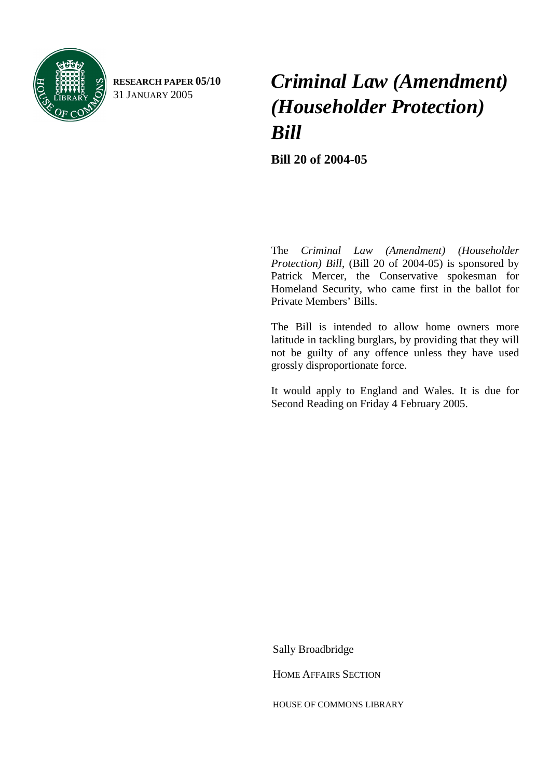

**RESEARCH PAPER 05/10** 

# <sup>31</sup> JANUARY 2005 *Criminal Law (Amendment) (Householder Protection) Bill*

**Bill 20 of 2004-05** 

 The *Criminal Law (Amendment) (Householder Protection) Bill*, (Bill 20 of 2004-05) is sponsored by Patrick Mercer, the Conservative spokesman for Homeland Security, who came first in the ballot for Private Members' Bills.

The Bill is intended to allow home owners more latitude in tackling burglars, by providing that they will not be guilty of any offence unless they have used grossly disproportionate force.

It would apply to England and Wales. It is due for Second Reading on Friday 4 February 2005.

Sally Broadbridge

HOME AFFAIRS SECTION

HOUSE OF COMMONS LIBRARY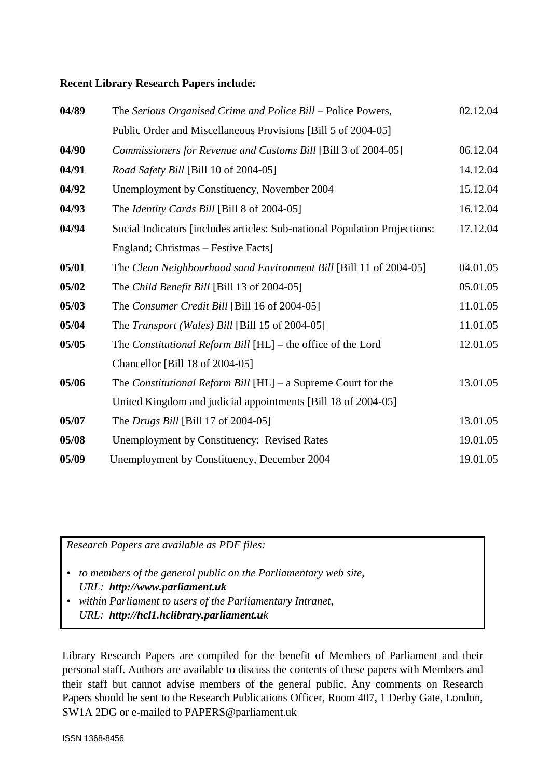#### **Recent Library Research Papers include:**

| 04/89 | The Serious Organised Crime and Police Bill - Police Powers,               | 02.12.04 |
|-------|----------------------------------------------------------------------------|----------|
|       | Public Order and Miscellaneous Provisions [Bill 5 of 2004-05]              |          |
| 04/90 | Commissioners for Revenue and Customs Bill [Bill 3 of 2004-05]             | 06.12.04 |
| 04/91 | Road Safety Bill [Bill 10 of 2004-05]                                      | 14.12.04 |
| 04/92 | Unemployment by Constituency, November 2004                                | 15.12.04 |
| 04/93 | The <i>Identity Cards Bill</i> [Bill 8 of 2004-05]                         | 16.12.04 |
| 04/94 | Social Indicators [includes articles: Sub-national Population Projections: | 17.12.04 |
|       | England; Christmas – Festive Facts                                         |          |
| 05/01 | The Clean Neighbourhood sand Environment Bill [Bill 11 of 2004-05]         | 04.01.05 |
| 05/02 | The Child Benefit Bill [Bill 13 of 2004-05]                                | 05.01.05 |
| 05/03 | The Consumer Credit Bill [Bill 16 of 2004-05]                              | 11.01.05 |
| 05/04 | The <i>Transport</i> (Wales) Bill [Bill 15 of 2004-05]                     | 11.01.05 |
| 05/05 | The Constitutional Reform Bill [HL] – the office of the Lord               | 12.01.05 |
|       | Chancellor [Bill 18 of 2004-05]                                            |          |
| 05/06 | The <i>Constitutional Reform Bill</i> $[HL]$ – a Supreme Court for the     | 13.01.05 |
|       | United Kingdom and judicial appointments [Bill 18 of 2004-05]              |          |
| 05/07 | The <i>Drugs Bill</i> [Bill 17 of 2004-05]                                 | 13.01.05 |
| 05/08 | <b>Unemployment by Constituency: Revised Rates</b>                         | 19.01.05 |
| 05/09 | Unemployment by Constituency, December 2004                                | 19.01.05 |

*Research Papers are available as PDF files:* 

- *to members of the general public on the Parliamentary web site, URL: http://www.parliament.uk*
- *within Parliament to users of the Parliamentary Intranet, URL: http://hcl1.hclibrary.parliament.uk*

Library Research Papers are compiled for the benefit of Members of Parliament and their personal staff. Authors are available to discuss the contents of these papers with Members and their staff but cannot advise members of the general public. Any comments on Research Papers should be sent to the Research Publications Officer, Room 407, 1 Derby Gate, London, SW1A 2DG or e-mailed to PAPERS@parliament.uk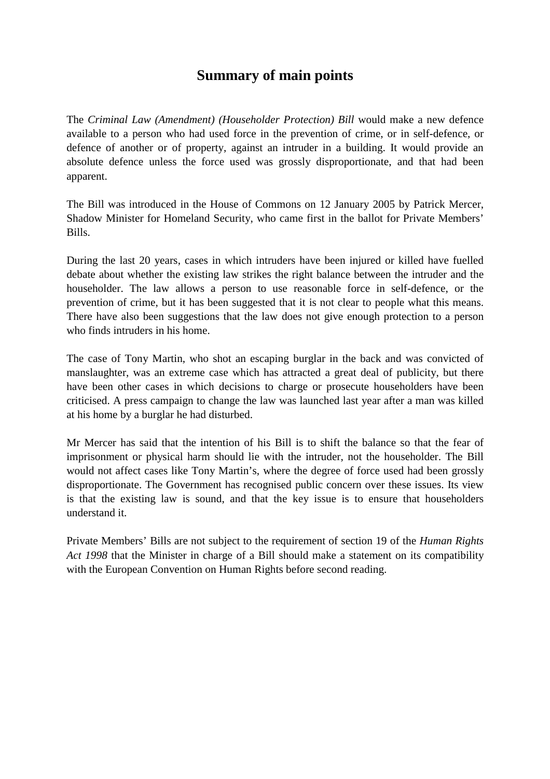# **Summary of main points**

The *Criminal Law (Amendment) (Householder Protection) Bill* would make a new defence available to a person who had used force in the prevention of crime, or in self-defence, or defence of another or of property, against an intruder in a building. It would provide an absolute defence unless the force used was grossly disproportionate, and that had been apparent.

The Bill was introduced in the House of Commons on 12 January 2005 by Patrick Mercer, Shadow Minister for Homeland Security, who came first in the ballot for Private Members' Bills.

During the last 20 years, cases in which intruders have been injured or killed have fuelled debate about whether the existing law strikes the right balance between the intruder and the householder. The law allows a person to use reasonable force in self-defence, or the prevention of crime, but it has been suggested that it is not clear to people what this means. There have also been suggestions that the law does not give enough protection to a person who finds intruders in his home.

The case of Tony Martin, who shot an escaping burglar in the back and was convicted of manslaughter, was an extreme case which has attracted a great deal of publicity, but there have been other cases in which decisions to charge or prosecute householders have been criticised. A press campaign to change the law was launched last year after a man was killed at his home by a burglar he had disturbed.

Mr Mercer has said that the intention of his Bill is to shift the balance so that the fear of imprisonment or physical harm should lie with the intruder, not the householder. The Bill would not affect cases like Tony Martin's, where the degree of force used had been grossly disproportionate. The Government has recognised public concern over these issues. Its view is that the existing law is sound, and that the key issue is to ensure that householders understand it.

Private Members' Bills are not subject to the requirement of section 19 of the *Human Rights Act 1998* that the Minister in charge of a Bill should make a statement on its compatibility with the European Convention on Human Rights before second reading.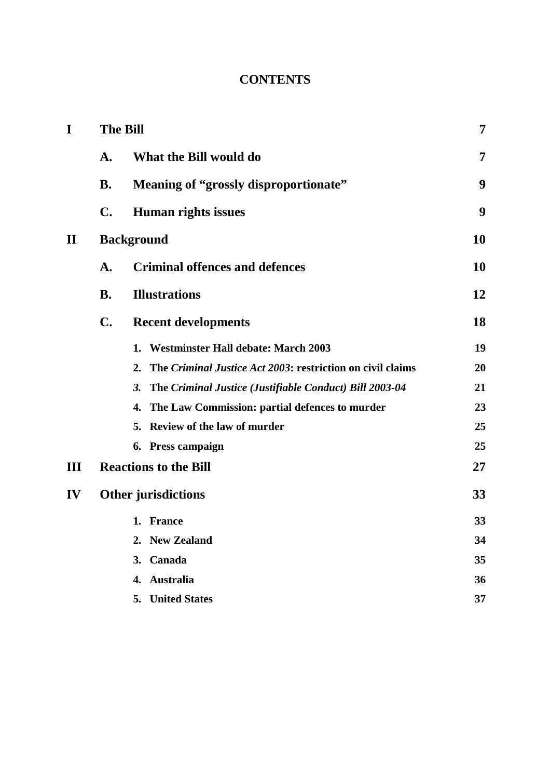# **CONTENTS**

| I            | <b>The Bill</b>            |                                                                      | 7  |
|--------------|----------------------------|----------------------------------------------------------------------|----|
|              | $\mathbf{A}$ .             | What the Bill would do                                               | 7  |
|              | <b>B.</b>                  | Meaning of "grossly disproportionate"                                | 9  |
|              | $\mathbf{C}$ .             | <b>Human rights issues</b>                                           | 9  |
| $\mathbf{I}$ | <b>Background</b>          |                                                                      | 10 |
|              | $\mathbf{A}$ .             | <b>Criminal offences and defences</b>                                | 10 |
|              | <b>B.</b>                  | <b>Illustrations</b>                                                 | 12 |
|              | $C_{\bullet}$              | <b>Recent developments</b>                                           | 18 |
|              |                            | 1. Westminster Hall debate: March 2003                               | 19 |
|              |                            | The Criminal Justice Act 2003: restriction on civil claims<br>2.     | 20 |
|              |                            | The Criminal Justice (Justifiable Conduct) Bill 2003-04<br><b>3.</b> | 21 |
|              |                            | 4. The Law Commission: partial defences to murder                    | 23 |
|              |                            | 5. Review of the law of murder                                       | 25 |
|              |                            | 6. Press campaign                                                    | 25 |
| III          |                            | <b>Reactions to the Bill</b>                                         | 27 |
| IV           | <b>Other jurisdictions</b> |                                                                      | 33 |
|              |                            | 1. France                                                            | 33 |
|              |                            | 2. New Zealand                                                       | 34 |
|              |                            | 3. Canada                                                            | 35 |
|              |                            | 4. Australia                                                         | 36 |
|              |                            | 5. United States                                                     | 37 |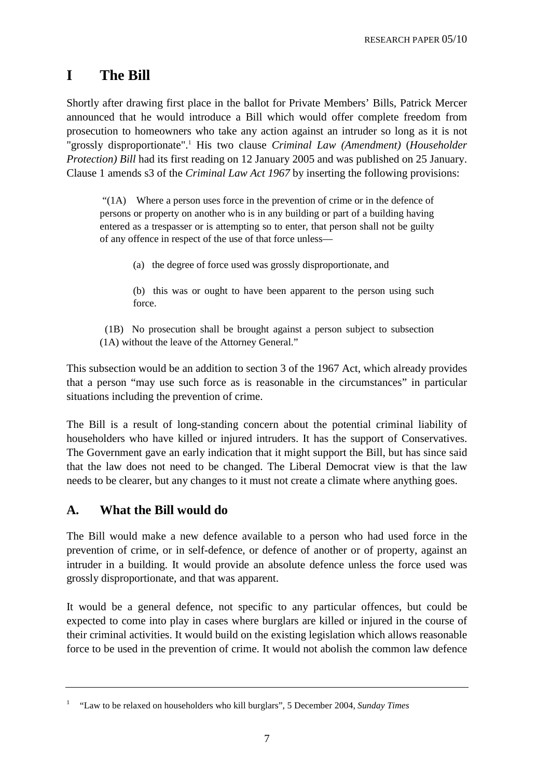# **I The Bill**

Shortly after drawing first place in the ballot for Private Members' Bills, Patrick Mercer announced that he would introduce a Bill which would offer complete freedom from prosecution to homeowners who take any action against an intruder so long as it is not "grossly disproportionate".<sup>1</sup> His two clause *Criminal Law (Amendment)* (*Householder Protection) Bill* had its first reading on 12 January 2005 and was published on 25 January. Clause 1 amends s3 of the *Criminal Law Act 1967* by inserting the following provisions:

 "(1A) Where a person uses force in the prevention of crime or in the defence of persons or property on another who is in any building or part of a building having entered as a trespasser or is attempting so to enter, that person shall not be guilty of any offence in respect of the use of that force unless—

(a) the degree of force used was grossly disproportionate, and

(b) this was or ought to have been apparent to the person using such force.

 (1B) No prosecution shall be brought against a person subject to subsection (1A) without the leave of the Attorney General."

This subsection would be an addition to section 3 of the 1967 Act, which already provides that a person "may use such force as is reasonable in the circumstances" in particular situations including the prevention of crime.

The Bill is a result of long-standing concern about the potential criminal liability of householders who have killed or injured intruders. It has the support of Conservatives. The Government gave an early indication that it might support the Bill, but has since said that the law does not need to be changed. The Liberal Democrat view is that the law needs to be clearer, but any changes to it must not create a climate where anything goes.

## **A. What the Bill would do**

The Bill would make a new defence available to a person who had used force in the prevention of crime, or in self-defence, or defence of another or of property, against an intruder in a building. It would provide an absolute defence unless the force used was grossly disproportionate, and that was apparent.

It would be a general defence, not specific to any particular offences, but could be expected to come into play in cases where burglars are killed or injured in the course of their criminal activities. It would build on the existing legislation which allows reasonable force to be used in the prevention of crime. It would not abolish the common law defence

<sup>1</sup> "Law to be relaxed on householders who kill burglars", 5 December 2004, *Sunday Times*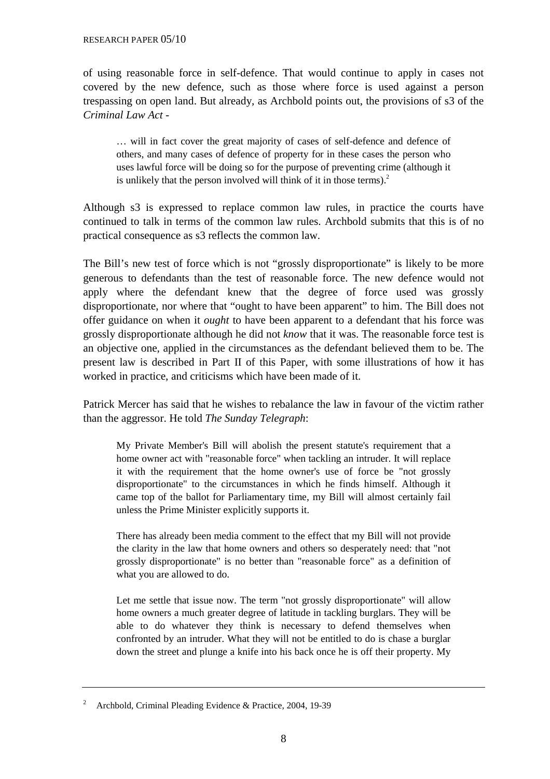of using reasonable force in self-defence. That would continue to apply in cases not covered by the new defence, such as those where force is used against a person trespassing on open land. But already, as Archbold points out, the provisions of s3 of the *Criminal Law Act* -

… will in fact cover the great majority of cases of self-defence and defence of others, and many cases of defence of property for in these cases the person who uses lawful force will be doing so for the purpose of preventing crime (although it is unlikely that the person involved will think of it in those terms). $<sup>2</sup>$ </sup>

Although s3 is expressed to replace common law rules, in practice the courts have continued to talk in terms of the common law rules. Archbold submits that this is of no practical consequence as s3 reflects the common law.

The Bill's new test of force which is not "grossly disproportionate" is likely to be more generous to defendants than the test of reasonable force. The new defence would not apply where the defendant knew that the degree of force used was grossly disproportionate, nor where that "ought to have been apparent" to him. The Bill does not offer guidance on when it *ought* to have been apparent to a defendant that his force was grossly disproportionate although he did not *know* that it was. The reasonable force test is an objective one, applied in the circumstances as the defendant believed them to be. The present law is described in Part II of this Paper, with some illustrations of how it has worked in practice, and criticisms which have been made of it.

Patrick Mercer has said that he wishes to rebalance the law in favour of the victim rather than the aggressor. He told *The Sunday Telegraph*:

My Private Member's Bill will abolish the present statute's requirement that a home owner act with "reasonable force" when tackling an intruder. It will replace it with the requirement that the home owner's use of force be "not grossly disproportionate" to the circumstances in which he finds himself. Although it came top of the ballot for Parliamentary time, my Bill will almost certainly fail unless the Prime Minister explicitly supports it.

There has already been media comment to the effect that my Bill will not provide the clarity in the law that home owners and others so desperately need: that "not grossly disproportionate" is no better than "reasonable force" as a definition of what you are allowed to do.

Let me settle that issue now. The term "not grossly disproportionate" will allow home owners a much greater degree of latitude in tackling burglars. They will be able to do whatever they think is necessary to defend themselves when confronted by an intruder. What they will not be entitled to do is chase a burglar down the street and plunge a knife into his back once he is off their property. My

<sup>&</sup>lt;sup>2</sup> Archbold, Criminal Pleading Evidence & Practice, 2004, 19-39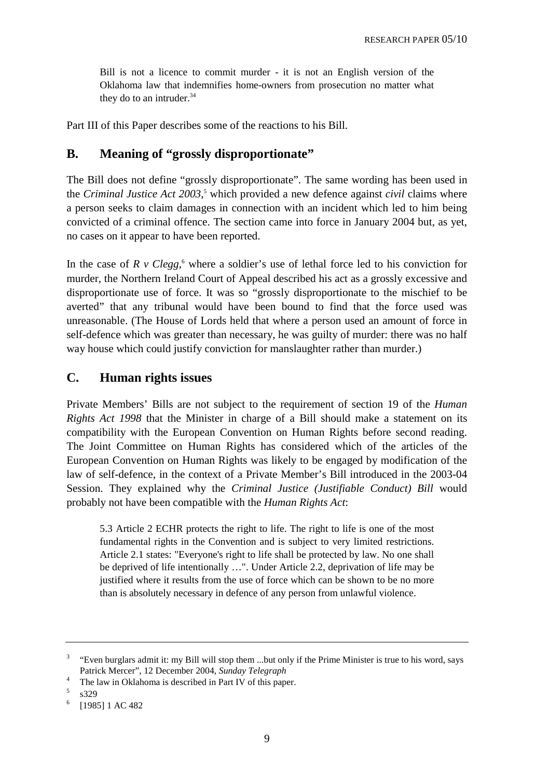Bill is not a licence to commit murder - it is not an English version of the Oklahoma law that indemnifies home-owners from prosecution no matter what they do to an intruder.<sup>34</sup>

Part III of this Paper describes some of the reactions to his Bill.

### **B. Meaning of "grossly disproportionate"**

The Bill does not define "grossly disproportionate". The same wording has been used in the *Criminal Justice Act 2003*, 5 which provided a new defence against *civil* claims where a person seeks to claim damages in connection with an incident which led to him being convicted of a criminal offence. The section came into force in January 2004 but, as yet, no cases on it appear to have been reported.

In the case of  $R$  v Clegg,<sup>6</sup> where a soldier's use of lethal force led to his conviction for murder, the Northern Ireland Court of Appeal described his act as a grossly excessive and disproportionate use of force. It was so "grossly disproportionate to the mischief to be averted" that any tribunal would have been bound to find that the force used was unreasonable. (The House of Lords held that where a person used an amount of force in self-defence which was greater than necessary, he was guilty of murder: there was no half way house which could justify conviction for manslaughter rather than murder.)

### **C. Human rights issues**

Private Members' Bills are not subject to the requirement of section 19 of the *Human Rights Act 1998* that the Minister in charge of a Bill should make a statement on its compatibility with the European Convention on Human Rights before second reading. The Joint Committee on Human Rights has considered which of the articles of the European Convention on Human Rights was likely to be engaged by modification of the law of self-defence, in the context of a Private Member's Bill introduced in the 2003-04 Session. They explained why the *Criminal Justice (Justifiable Conduct) Bill* would probably not have been compatible with the *Human Rights Act*:

5.3 Article 2 ECHR protects the right to life. The right to life is one of the most fundamental rights in the Convention and is subject to very limited restrictions. Article 2.1 states: "Everyone's right to life shall be protected by law. No one shall be deprived of life intentionally …". Under Article 2.2, deprivation of life may be justified where it results from the use of force which can be shown to be no more than is absolutely necessary in defence of any person from unlawful violence.

 $3$  "Even burglars admit it: my Bill will stop them ...but only if the Prime Minister is true to his word, says Patrick Mercer", 12 December 2004, *Sunday Telegraph*

<sup>4</sup> The law in Oklahoma is described in Part IV of this paper.

<sup>5</sup> s329

<sup>6</sup> [1985] 1 AC 482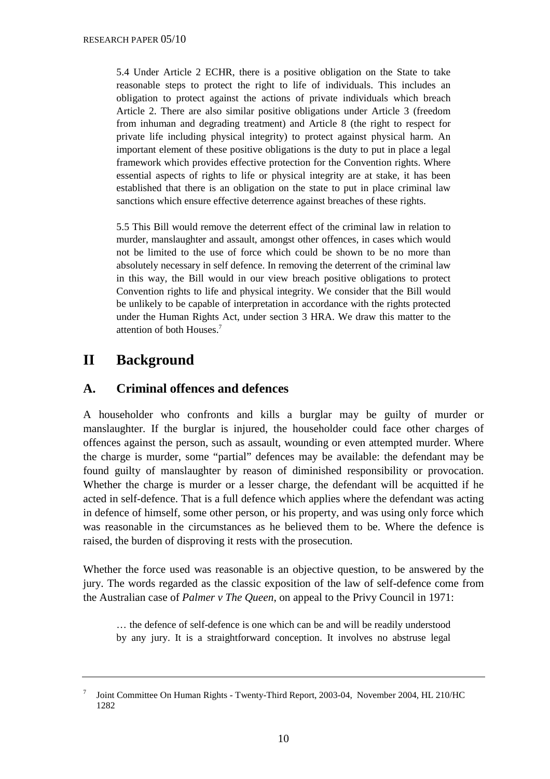5.4 Under Article 2 ECHR, there is a positive obligation on the State to take reasonable steps to protect the right to life of individuals. This includes an obligation to protect against the actions of private individuals which breach Article 2. There are also similar positive obligations under Article 3 (freedom from inhuman and degrading treatment) and Article 8 (the right to respect for private life including physical integrity) to protect against physical harm. An important element of these positive obligations is the duty to put in place a legal framework which provides effective protection for the Convention rights. Where essential aspects of rights to life or physical integrity are at stake, it has been established that there is an obligation on the state to put in place criminal law sanctions which ensure effective deterrence against breaches of these rights.

5.5 This Bill would remove the deterrent effect of the criminal law in relation to murder, manslaughter and assault, amongst other offences, in cases which would not be limited to the use of force which could be shown to be no more than absolutely necessary in self defence. In removing the deterrent of the criminal law in this way, the Bill would in our view breach positive obligations to protect Convention rights to life and physical integrity. We consider that the Bill would be unlikely to be capable of interpretation in accordance with the rights protected under the Human Rights Act, under section 3 HRA. We draw this matter to the attention of both Houses.7

# **II Background**

## **A. Criminal offences and defences**

A householder who confronts and kills a burglar may be guilty of murder or manslaughter. If the burglar is injured, the householder could face other charges of offences against the person, such as assault, wounding or even attempted murder. Where the charge is murder, some "partial" defences may be available: the defendant may be found guilty of manslaughter by reason of diminished responsibility or provocation. Whether the charge is murder or a lesser charge, the defendant will be acquitted if he acted in self-defence. That is a full defence which applies where the defendant was acting in defence of himself, some other person, or his property, and was using only force which was reasonable in the circumstances as he believed them to be. Where the defence is raised, the burden of disproving it rests with the prosecution.

Whether the force used was reasonable is an objective question, to be answered by the jury. The words regarded as the classic exposition of the law of self-defence come from the Australian case of *Palmer v The Queen*, on appeal to the Privy Council in 1971:

… the defence of self-defence is one which can be and will be readily understood by any jury. It is a straightforward conception. It involves no abstruse legal

<sup>7</sup> Joint Committee On Human Rights - Twenty-Third Report, 2003-04, November 2004, HL 210/HC 1282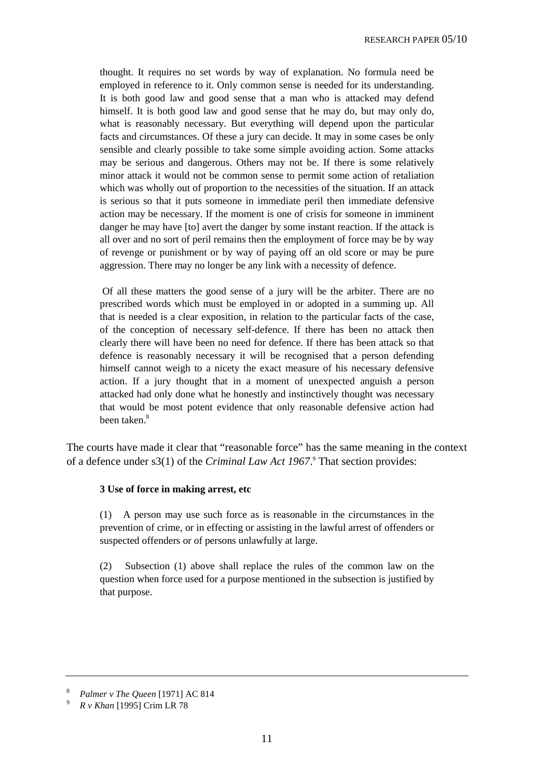thought. It requires no set words by way of explanation. No formula need be employed in reference to it. Only common sense is needed for its understanding. It is both good law and good sense that a man who is attacked may defend himself. It is both good law and good sense that he may do, but may only do, what is reasonably necessary. But everything will depend upon the particular facts and circumstances. Of these a jury can decide. It may in some cases be only sensible and clearly possible to take some simple avoiding action. Some attacks may be serious and dangerous. Others may not be. If there is some relatively minor attack it would not be common sense to permit some action of retaliation which was wholly out of proportion to the necessities of the situation. If an attack is serious so that it puts someone in immediate peril then immediate defensive action may be necessary. If the moment is one of crisis for someone in imminent danger he may have [to] avert the danger by some instant reaction. If the attack is all over and no sort of peril remains then the employment of force may be by way of revenge or punishment or by way of paying off an old score or may be pure aggression. There may no longer be any link with a necessity of defence.

 Of all these matters the good sense of a jury will be the arbiter. There are no prescribed words which must be employed in or adopted in a summing up. All that is needed is a clear exposition, in relation to the particular facts of the case, of the conception of necessary self-defence. If there has been no attack then clearly there will have been no need for defence. If there has been attack so that defence is reasonably necessary it will be recognised that a person defending himself cannot weigh to a nicety the exact measure of his necessary defensive action. If a jury thought that in a moment of unexpected anguish a person attacked had only done what he honestly and instinctively thought was necessary that would be most potent evidence that only reasonable defensive action had been taken.<sup>8</sup>

The courts have made it clear that "reasonable force" has the same meaning in the context of a defence under s3(1) of the *Criminal Law Act 1967*.<sup>9</sup> That section provides:

#### **3 Use of force in making arrest, etc**

(1) A person may use such force as is reasonable in the circumstances in the prevention of crime, or in effecting or assisting in the lawful arrest of offenders or suspected offenders or of persons unlawfully at large.

(2) Subsection (1) above shall replace the rules of the common law on the question when force used for a purpose mentioned in the subsection is justified by that purpose.

<sup>8</sup> *Palmer v The Queen* [1971] AC 814

*R v Khan* [1995] Crim LR 78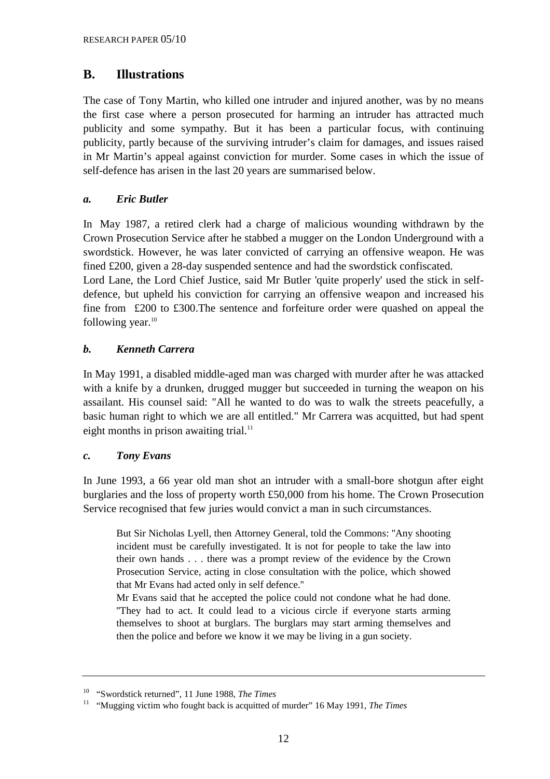## **B. Illustrations**

The case of Tony Martin, who killed one intruder and injured another, was by no means the first case where a person prosecuted for harming an intruder has attracted much publicity and some sympathy. But it has been a particular focus, with continuing publicity, partly because of the surviving intruder's claim for damages, and issues raised in Mr Martin's appeal against conviction for murder. Some cases in which the issue of self-defence has arisen in the last 20 years are summarised below.

#### *a. Eric Butler*

In May 1987, a retired clerk had a charge of malicious wounding withdrawn by the Crown Prosecution Service after he stabbed a mugger on the London Underground with a swordstick. However, he was later convicted of carrying an offensive weapon. He was fined £200, given a 28-day suspended sentence and had the swordstick confiscated. Lord Lane, the Lord Chief Justice, said Mr Butler 'quite properly' used the stick in selfdefence, but upheld his conviction for carrying an offensive weapon and increased his fine from £200 to £300.The sentence and forfeiture order were quashed on appeal the

#### *b. Kenneth Carrera*

following year. $10$ 

In May 1991, a disabled middle-aged man was charged with murder after he was attacked with a knife by a drunken, drugged mugger but succeeded in turning the weapon on his assailant. His counsel said: "All he wanted to do was to walk the streets peacefully, a basic human right to which we are all entitled." Mr Carrera was acquitted, but had spent eight months in prison awaiting trial. $11$ 

#### *c. Tony Evans*

In June 1993, a 66 year old man shot an intruder with a small-bore shotgun after eight burglaries and the loss of property worth £50,000 from his home. The Crown Prosecution Service recognised that few juries would convict a man in such circumstances.

But Sir Nicholas Lyell, then Attorney General, told the Commons: ''Any shooting incident must be carefully investigated. It is not for people to take the law into their own hands . . . there was a prompt review of the evidence by the Crown Prosecution Service, acting in close consultation with the police, which showed that Mr Evans had acted only in self defence.''

Mr Evans said that he accepted the police could not condone what he had done. ''They had to act. It could lead to a vicious circle if everyone starts arming themselves to shoot at burglars. The burglars may start arming themselves and then the police and before we know it we may be living in a gun society.

<sup>10 &</sup>quot;Swordstick returned", 11 June 1988, *The Times* 

<sup>11 &</sup>quot;Mugging victim who fought back is acquitted of murder" 16 May 1991, *The Times*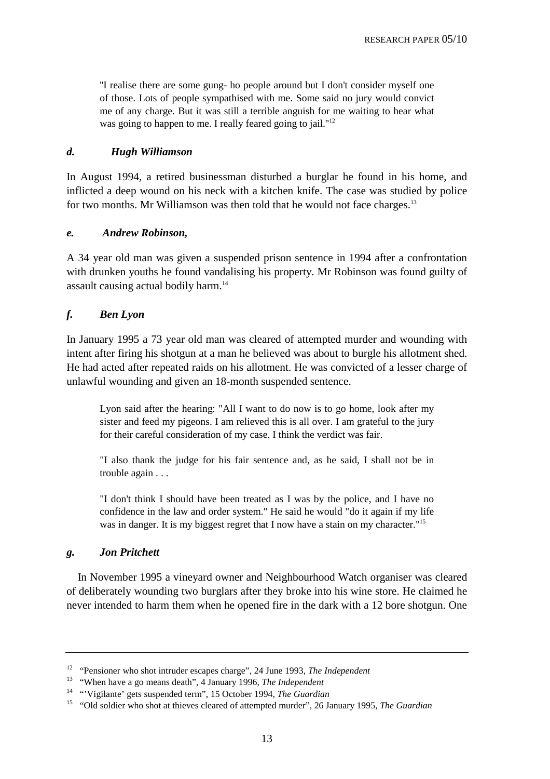''I realise there are some gung- ho people around but I don't consider myself one of those. Lots of people sympathised with me. Some said no jury would convict me of any charge. But it was still a terrible anguish for me waiting to hear what was going to happen to me. I really feared going to jail."<sup>12</sup>

#### *d. Hugh Williamson*

In August 1994, a retired businessman disturbed a burglar he found in his home, and inflicted a deep wound on his neck with a kitchen knife. The case was studied by police for two months. Mr Williamson was then told that he would not face charges.13

#### *e. Andrew Robinson,*

A 34 year old man was given a suspended prison sentence in 1994 after a confrontation with drunken youths he found vandalising his property. Mr Robinson was found guilty of assault causing actual bodily harm.14

#### *f. Ben Lyon*

In January 1995 a 73 year old man was cleared of attempted murder and wounding with intent after firing his shotgun at a man he believed was about to burgle his allotment shed. He had acted after repeated raids on his allotment. He was convicted of a lesser charge of unlawful wounding and given an 18-month suspended sentence.

Lyon said after the hearing: "All I want to do now is to go home, look after my sister and feed my pigeons. I am relieved this is all over. I am grateful to the jury for their careful consideration of my case. I think the verdict was fair.

"I also thank the judge for his fair sentence and, as he said, I shall not be in trouble again . . .

"I don't think I should have been treated as I was by the police, and I have no confidence in the law and order system." He said he would "do it again if my life was in danger. It is my biggest regret that I now have a stain on my character."<sup>15</sup>

#### *g. Jon Pritchett*

 In November 1995 a vineyard owner and Neighbourhood Watch organiser was cleared of deliberately wounding two burglars after they broke into his wine store. He claimed he never intended to harm them when he opened fire in the dark with a 12 bore shotgun. One

<sup>12 &</sup>quot;Pensioner who shot intruder escapes charge", 24 June 1993, *The Independent*

<sup>13 &</sup>quot;When have a go means death", 4 January 1996, *The Independent*

<sup>14 &</sup>quot;'Vigilante' gets suspended term", 15 October 1994, *The Guardian*

<sup>15 &</sup>quot;Old soldier who shot at thieves cleared of attempted murder", 26 January 1995, *The Guardian*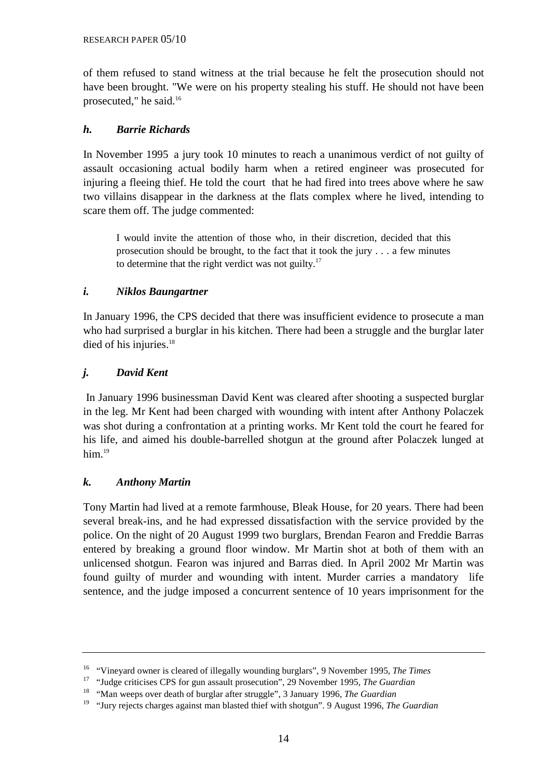of them refused to stand witness at the trial because he felt the prosecution should not have been brought. "We were on his property stealing his stuff. He should not have been prosecuted," he said.16

#### *h. Barrie Richards*

In November 1995 a jury took 10 minutes to reach a unanimous verdict of not guilty of assault occasioning actual bodily harm when a retired engineer was prosecuted for injuring a fleeing thief. He told the court that he had fired into trees above where he saw two villains disappear in the darkness at the flats complex where he lived, intending to scare them off. The judge commented:

I would invite the attention of those who, in their discretion, decided that this prosecution should be brought, to the fact that it took the jury . . . a few minutes to determine that the right verdict was not guilty. $17$ 

#### *i. Niklos Baungartner*

In January 1996, the CPS decided that there was insufficient evidence to prosecute a man who had surprised a burglar in his kitchen. There had been a struggle and the burglar later died of his injuries.<sup>18</sup>

#### *j. David Kent*

 In January 1996 businessman David Kent was cleared after shooting a suspected burglar in the leg. Mr Kent had been charged with wounding with intent after Anthony Polaczek was shot during a confrontation at a printing works. Mr Kent told the court he feared for his life, and aimed his double-barrelled shotgun at the ground after Polaczek lunged at him. $19$ 

#### *k. Anthony Martin*

Tony Martin had lived at a remote farmhouse, Bleak House, for 20 years. There had been several break-ins, and he had expressed dissatisfaction with the service provided by the police. On the night of 20 August 1999 two burglars, Brendan Fearon and Freddie Barras entered by breaking a ground floor window. Mr Martin shot at both of them with an unlicensed shotgun. Fearon was injured and Barras died. In April 2002 Mr Martin was found guilty of murder and wounding with intent. Murder carries a mandatory life sentence, and the judge imposed a concurrent sentence of 10 years imprisonment for the

<sup>16 &</sup>quot;Vineyard owner is cleared of illegally wounding burglars", 9 November 1995, *The Times*

<sup>17 &</sup>quot;Judge criticises CPS for gun assault prosecution", 29 November 1995, *The Guardian* 

<sup>18 &</sup>quot;Man weeps over death of burglar after struggle", 3 January 1996, *The Guardian*

<sup>19 &</sup>quot;Jury rejects charges against man blasted thief with shotgun". 9 August 1996, *The Guardian*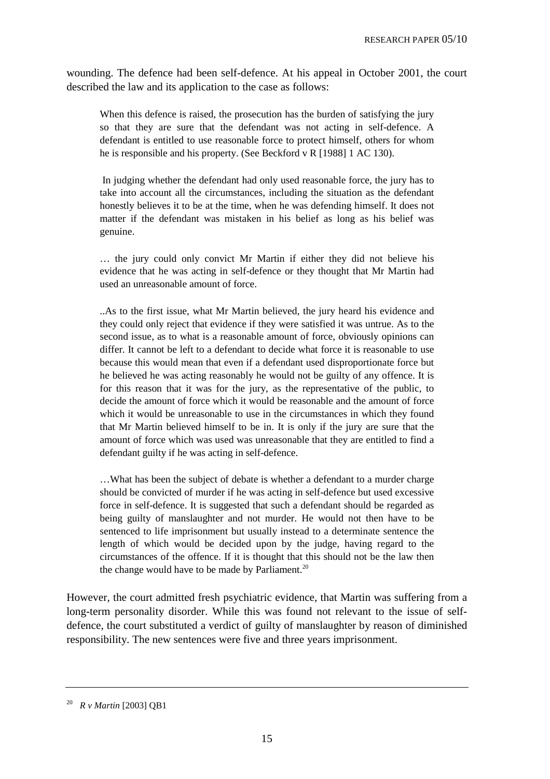wounding. The defence had been self-defence. At his appeal in October 2001, the court described the law and its application to the case as follows:

When this defence is raised, the prosecution has the burden of satisfying the jury so that they are sure that the defendant was not acting in self-defence. A defendant is entitled to use reasonable force to protect himself, others for whom he is responsible and his property. (See Beckford v R [1988] 1 AC 130).

 In judging whether the defendant had only used reasonable force, the jury has to take into account all the circumstances, including the situation as the defendant honestly believes it to be at the time, when he was defending himself. It does not matter if the defendant was mistaken in his belief as long as his belief was genuine.

… the jury could only convict Mr Martin if either they did not believe his evidence that he was acting in self-defence or they thought that Mr Martin had used an unreasonable amount of force.

..As to the first issue, what Mr Martin believed, the jury heard his evidence and they could only reject that evidence if they were satisfied it was untrue. As to the second issue, as to what is a reasonable amount of force, obviously opinions can differ. It cannot be left to a defendant to decide what force it is reasonable to use because this would mean that even if a defendant used disproportionate force but he believed he was acting reasonably he would not be guilty of any offence. It is for this reason that it was for the jury, as the representative of the public, to decide the amount of force which it would be reasonable and the amount of force which it would be unreasonable to use in the circumstances in which they found that Mr Martin believed himself to be in. It is only if the jury are sure that the amount of force which was used was unreasonable that they are entitled to find a defendant guilty if he was acting in self-defence.

…What has been the subject of debate is whether a defendant to a murder charge should be convicted of murder if he was acting in self-defence but used excessive force in self-defence. It is suggested that such a defendant should be regarded as being guilty of manslaughter and not murder. He would not then have to be sentenced to life imprisonment but usually instead to a determinate sentence the length of which would be decided upon by the judge, having regard to the circumstances of the offence. If it is thought that this should not be the law then the change would have to be made by Parliament. $20$ 

However, the court admitted fresh psychiatric evidence, that Martin was suffering from a long-term personality disorder. While this was found not relevant to the issue of selfdefence, the court substituted a verdict of guilty of manslaughter by reason of diminished responsibility. The new sentences were five and three years imprisonment.

<sup>20</sup> *R v Martin* [2003] QB1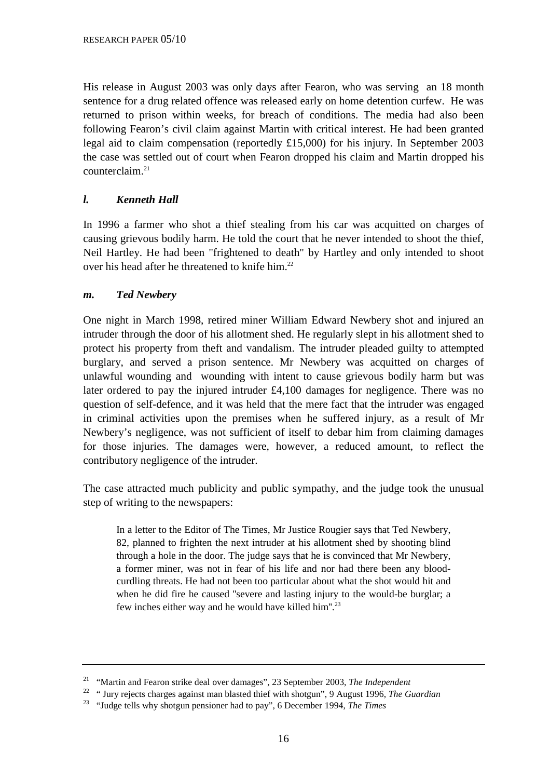His release in August 2003 was only days after Fearon, who was serving an 18 month sentence for a drug related offence was released early on home detention curfew. He was returned to prison within weeks, for breach of conditions. The media had also been following Fearon's civil claim against Martin with critical interest. He had been granted legal aid to claim compensation (reportedly £15,000) for his injury. In September 2003 the case was settled out of court when Fearon dropped his claim and Martin dropped his counterclaim.21

#### *l. Kenneth Hall*

In 1996 a farmer who shot a thief stealing from his car was acquitted on charges of causing grievous bodily harm. He told the court that he never intended to shoot the thief, Neil Hartley. He had been "frightened to death" by Hartley and only intended to shoot over his head after he threatened to knife him.<sup>22</sup>

#### *m. Ted Newbery*

One night in March 1998, retired miner William Edward Newbery shot and injured an intruder through the door of his allotment shed. He regularly slept in his allotment shed to protect his property from theft and vandalism. The intruder pleaded guilty to attempted burglary, and served a prison sentence. Mr Newbery was acquitted on charges of unlawful wounding and wounding with intent to cause grievous bodily harm but was later ordered to pay the injured intruder £4,100 damages for negligence. There was no question of self-defence, and it was held that the mere fact that the intruder was engaged in criminal activities upon the premises when he suffered injury, as a result of Mr Newbery's negligence, was not sufficient of itself to debar him from claiming damages for those injuries. The damages were, however, a reduced amount, to reflect the contributory negligence of the intruder.

The case attracted much publicity and public sympathy, and the judge took the unusual step of writing to the newspapers:

In a letter to the Editor of The Times, Mr Justice Rougier says that Ted Newbery, 82, planned to frighten the next intruder at his allotment shed by shooting blind through a hole in the door. The judge says that he is convinced that Mr Newbery, a former miner, was not in fear of his life and nor had there been any bloodcurdling threats. He had not been too particular about what the shot would hit and when he did fire he caused ''severe and lasting injury to the would-be burglar; a few inches either way and he would have killed him''.23

<sup>21 &</sup>quot;Martin and Fearon strike deal over damages", 23 September 2003, *The Independent*

<sup>22 &</sup>quot; Jury rejects charges against man blasted thief with shotgun", 9 August 1996, *The Guardian*

<sup>23 &</sup>quot;Judge tells why shotgun pensioner had to pay", 6 December 1994, *The Times*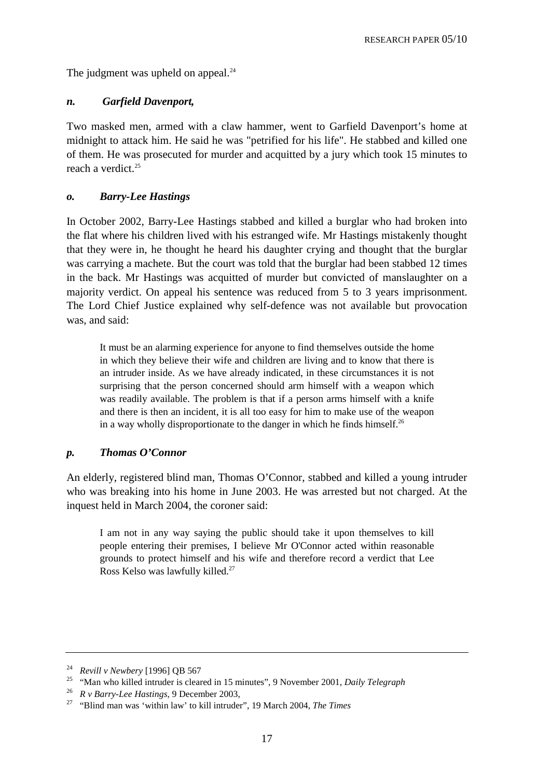The judgment was upheld on appeal. $^{24}$ 

#### *n. Garfield Davenport,*

Two masked men, armed with a claw hammer, went to Garfield Davenport's home at midnight to attack him. He said he was "petrified for his life". He stabbed and killed one of them. He was prosecuted for murder and acquitted by a jury which took 15 minutes to reach a verdict.25

#### *o. Barry-Lee Hastings*

In October 2002, Barry-Lee Hastings stabbed and killed a burglar who had broken into the flat where his children lived with his estranged wife. Mr Hastings mistakenly thought that they were in, he thought he heard his daughter crying and thought that the burglar was carrying a machete. But the court was told that the burglar had been stabbed 12 times in the back. Mr Hastings was acquitted of murder but convicted of manslaughter on a majority verdict. On appeal his sentence was reduced from 5 to 3 years imprisonment. The Lord Chief Justice explained why self-defence was not available but provocation was, and said:

It must be an alarming experience for anyone to find themselves outside the home in which they believe their wife and children are living and to know that there is an intruder inside. As we have already indicated, in these circumstances it is not surprising that the person concerned should arm himself with a weapon which was readily available. The problem is that if a person arms himself with a knife and there is then an incident, it is all too easy for him to make use of the weapon in a way wholly disproportionate to the danger in which he finds himself.<sup>26</sup>

#### *p. Thomas O'Connor*

An elderly, registered blind man, Thomas O'Connor, stabbed and killed a young intruder who was breaking into his home in June 2003. He was arrested but not charged. At the inquest held in March 2004, the coroner said:

I am not in any way saying the public should take it upon themselves to kill people entering their premises, I believe Mr O'Connor acted within reasonable grounds to protect himself and his wife and therefore record a verdict that Lee Ross Kelso was lawfully killed.27

<sup>&</sup>lt;sup>24</sup> Revill v Newbery [1996] QB 567<br><sup>25</sup> "Man who killed intruder is cleared in 15 minutes", 9 November 2001, *Daily Telegraph*<br><sup>26</sup> R v Barry-Lee Hastings, 9 December 2003,

<sup>&</sup>lt;sup>27</sup> "Blind man was 'within law' to kill intruder", 19 March 2004, *The Times*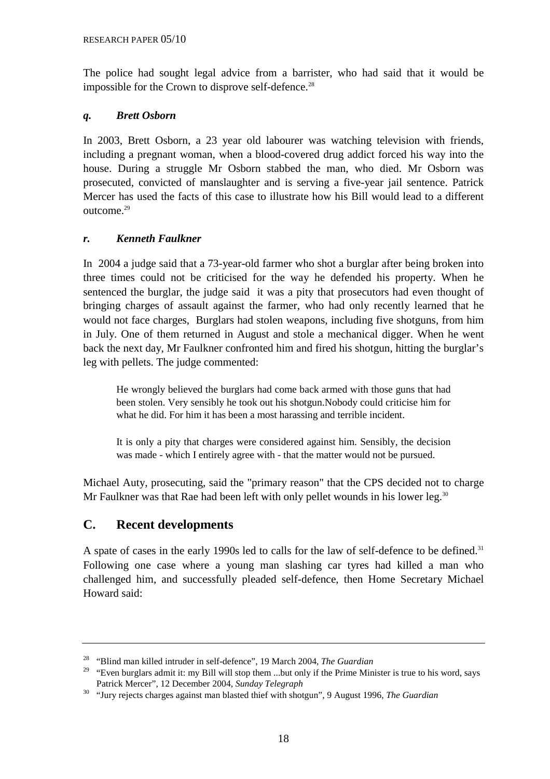The police had sought legal advice from a barrister, who had said that it would be impossible for the Crown to disprove self-defence.<sup>28</sup>

#### *q. Brett Osborn*

In 2003, Brett Osborn, a 23 year old labourer was watching television with friends, including a pregnant woman, when a blood-covered drug addict forced his way into the house. During a struggle Mr Osborn stabbed the man, who died. Mr Osborn was prosecuted, convicted of manslaughter and is serving a five-year jail sentence. Patrick Mercer has used the facts of this case to illustrate how his Bill would lead to a different outcome.29

#### *r. Kenneth Faulkner*

In 2004 a judge said that a 73-year-old farmer who shot a burglar after being broken into three times could not be criticised for the way he defended his property. When he sentenced the burglar, the judge said it was a pity that prosecutors had even thought of bringing charges of assault against the farmer, who had only recently learned that he would not face charges, Burglars had stolen weapons, including five shotguns, from him in July. One of them returned in August and stole a mechanical digger. When he went back the next day, Mr Faulkner confronted him and fired his shotgun, hitting the burglar's leg with pellets. The judge commented:

He wrongly believed the burglars had come back armed with those guns that had been stolen. Very sensibly he took out his shotgun.Nobody could criticise him for what he did. For him it has been a most harassing and terrible incident.

It is only a pity that charges were considered against him. Sensibly, the decision was made - which I entirely agree with - that the matter would not be pursued.

Michael Auty, prosecuting, said the "primary reason" that the CPS decided not to charge Mr Faulkner was that Rae had been left with only pellet wounds in his lower leg.<sup>30</sup>

## **C. Recent developments**

A spate of cases in the early 1990s led to calls for the law of self-defence to be defined.<sup>31</sup> Following one case where a young man slashing car tyres had killed a man who challenged him, and successfully pleaded self-defence, then Home Secretary Michael Howard said:

<sup>28 &</sup>quot;Blind man killed intruder in self-defence", 19 March 2004, *The Guardian*

<sup>&</sup>lt;sup>29</sup> "Even burglars admit it: my Bill will stop them ...but only if the Prime Minister is true to his word, says Patrick Mercer", 12 December 2004, *Sunday Telegraph*

<sup>30 &</sup>quot;Jury rejects charges against man blasted thief with shotgun", 9 August 1996, *The Guardian*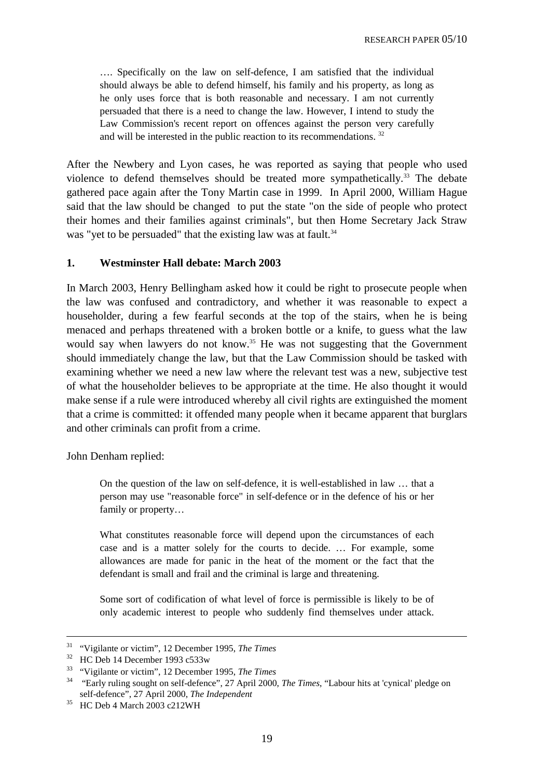…. Specifically on the law on self-defence, I am satisfied that the individual should always be able to defend himself, his family and his property, as long as he only uses force that is both reasonable and necessary. I am not currently persuaded that there is a need to change the law. However, I intend to study the Law Commission's recent report on offences against the person very carefully and will be interested in the public reaction to its recommendations. 32

After the Newbery and Lyon cases, he was reported as saying that people who used violence to defend themselves should be treated more sympathetically.<sup>33</sup> The debate gathered pace again after the Tony Martin case in 1999. In April 2000, William Hague said that the law should be changed to put the state "on the side of people who protect their homes and their families against criminals", but then Home Secretary Jack Straw was "yet to be persuaded" that the existing law was at fault.<sup>34</sup>

#### **1. Westminster Hall debate: March 2003**

In March 2003, Henry Bellingham asked how it could be right to prosecute people when the law was confused and contradictory, and whether it was reasonable to expect a householder, during a few fearful seconds at the top of the stairs, when he is being menaced and perhaps threatened with a broken bottle or a knife, to guess what the law would say when lawyers do not know.<sup>35</sup> He was not suggesting that the Government should immediately change the law, but that the Law Commission should be tasked with examining whether we need a new law where the relevant test was a new, subjective test of what the householder believes to be appropriate at the time. He also thought it would make sense if a rule were introduced whereby all civil rights are extinguished the moment that a crime is committed: it offended many people when it became apparent that burglars and other criminals can profit from a crime.

John Denham replied:

On the question of the law on self-defence, it is well-established in law … that a person may use "reasonable force" in self-defence or in the defence of his or her family or property…

What constitutes reasonable force will depend upon the circumstances of each case and is a matter solely for the courts to decide. … For example, some allowances are made for panic in the heat of the moment or the fact that the defendant is small and frail and the criminal is large and threatening.

Some sort of codification of what level of force is permissible is likely to be of only academic interest to people who suddenly find themselves under attack.

 <sup>31 &</sup>quot;Vigilante or victim", 12 December 1995, *The Times*

HC Deb 14 December 1993 c533w

<sup>33 &</sup>quot;Vigilante or victim", 12 December 1995, *The Times*

<sup>34 &</sup>quot;Early ruling sought on self-defence", 27 April 2000, *The Times*, "Labour hits at 'cynical' pledge on self-defence", 27 April 2000, *The Independent*

<sup>35</sup> HC Deb 4 March 2003 c212WH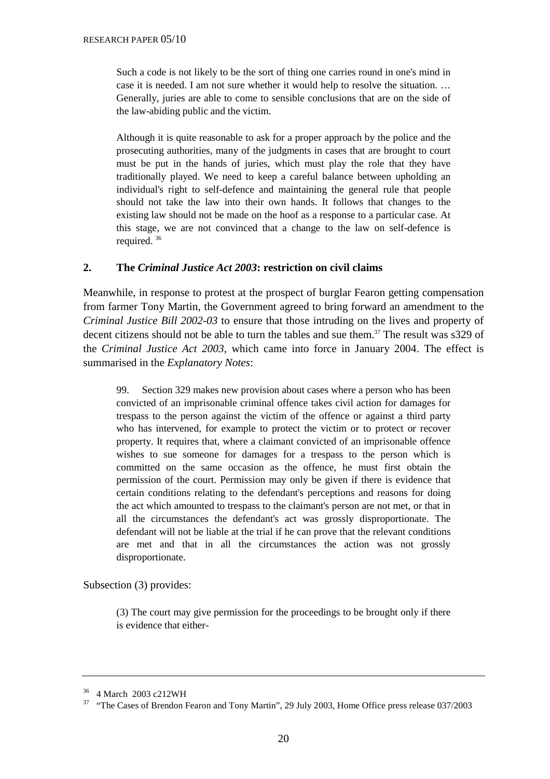Such a code is not likely to be the sort of thing one carries round in one's mind in case it is needed. I am not sure whether it would help to resolve the situation. … Generally, juries are able to come to sensible conclusions that are on the side of the law-abiding public and the victim.

Although it is quite reasonable to ask for a proper approach by the police and the prosecuting authorities, many of the judgments in cases that are brought to court must be put in the hands of juries, which must play the role that they have traditionally played. We need to keep a careful balance between upholding an individual's right to self-defence and maintaining the general rule that people should not take the law into their own hands. It follows that changes to the existing law should not be made on the hoof as a response to a particular case. At this stage, we are not convinced that a change to the law on self-defence is required. 36

#### **2. The** *Criminal Justice Act 2003***: restriction on civil claims**

Meanwhile, in response to protest at the prospect of burglar Fearon getting compensation from farmer Tony Martin, the Government agreed to bring forward an amendment to the *Criminal Justice Bill 2002-03* to ensure that those intruding on the lives and property of decent citizens should not be able to turn the tables and sue them.<sup>37</sup> The result was s329 of the *Criminal Justice Act 2003*, which came into force in January 2004. The effect is summarised in the *Explanatory Notes*:

99. Section 329 makes new provision about cases where a person who has been convicted of an imprisonable criminal offence takes civil action for damages for trespass to the person against the victim of the offence or against a third party who has intervened, for example to protect the victim or to protect or recover property. It requires that, where a claimant convicted of an imprisonable offence wishes to sue someone for damages for a trespass to the person which is committed on the same occasion as the offence, he must first obtain the permission of the court. Permission may only be given if there is evidence that certain conditions relating to the defendant's perceptions and reasons for doing the act which amounted to trespass to the claimant's person are not met, or that in all the circumstances the defendant's act was grossly disproportionate. The defendant will not be liable at the trial if he can prove that the relevant conditions are met and that in all the circumstances the action was not grossly disproportionate.

Subsection (3) provides:

(3) The court may give permission for the proceedings to be brought only if there is evidence that either-

<sup>36 4</sup> March 2003 c212WH

<sup>&</sup>lt;sup>37</sup> "The Cases of Brendon Fearon and Tony Martin", 29 July 2003, Home Office press release 037/2003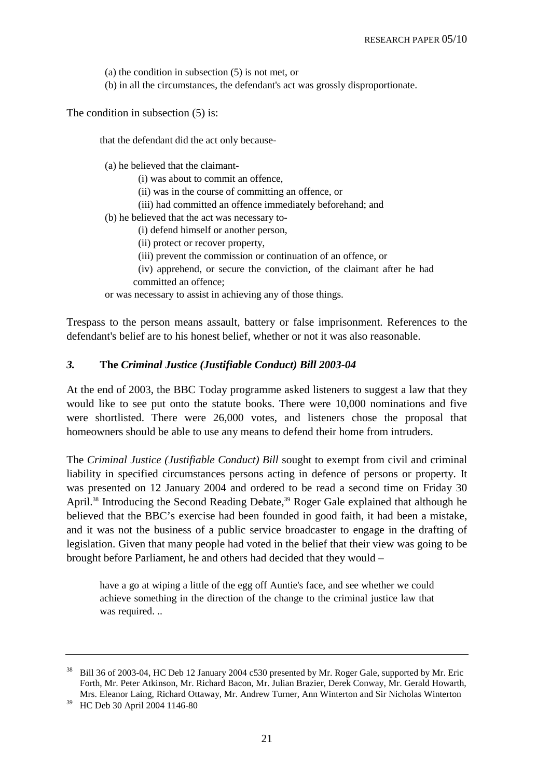(a) the condition in subsection (5) is not met, or

(b) in all the circumstances, the defendant's act was grossly disproportionate.

The condition in subsection  $(5)$  is:

that the defendant did the act only because-

(a) he believed that the claimant-

(i) was about to commit an offence,

(ii) was in the course of committing an offence, or

(iii) had committed an offence immediately beforehand; and

(b) he believed that the act was necessary to-

(i) defend himself or another person,

(ii) protect or recover property,

(iii) prevent the commission or continuation of an offence, or

 (iv) apprehend, or secure the conviction, of the claimant after he had committed an offence;

or was necessary to assist in achieving any of those things.

Trespass to the person means assault, battery or false imprisonment. References to the defendant's belief are to his honest belief, whether or not it was also reasonable.

#### *3.* **The** *Criminal Justice (Justifiable Conduct) Bill 2003-04*

At the end of 2003, the BBC Today programme asked listeners to suggest a law that they would like to see put onto the statute books. There were 10,000 nominations and five were shortlisted. There were 26,000 votes, and listeners chose the proposal that homeowners should be able to use any means to defend their home from intruders.

The *Criminal Justice (Justifiable Conduct) Bill* sought to exempt from civil and criminal liability in specified circumstances persons acting in defence of persons or property. It was presented on 12 January 2004 and ordered to be read a second time on Friday 30 April.<sup>38</sup> Introducing the Second Reading Debate,<sup>39</sup> Roger Gale explained that although he believed that the BBC's exercise had been founded in good faith, it had been a mistake, and it was not the business of a public service broadcaster to engage in the drafting of legislation. Given that many people had voted in the belief that their view was going to be brought before Parliament, he and others had decided that they would –

have a go at wiping a little of the egg off Auntie's face, and see whether we could achieve something in the direction of the change to the criminal justice law that was required. ..

<sup>&</sup>lt;sup>38</sup> Bill 36 of 2003-04, HC Deb 12 January 2004 c530 presented by Mr. Roger Gale, supported by Mr. Eric Forth, Mr. Peter Atkinson, Mr. Richard Bacon, Mr. Julian Brazier, Derek Conway, Mr. Gerald Howarth, Mrs. Eleanor Laing, Richard Ottaway, Mr. Andrew Turner, Ann Winterton and Sir Nicholas Winterton

<sup>39</sup> HC Deb 30 April 2004 1146-80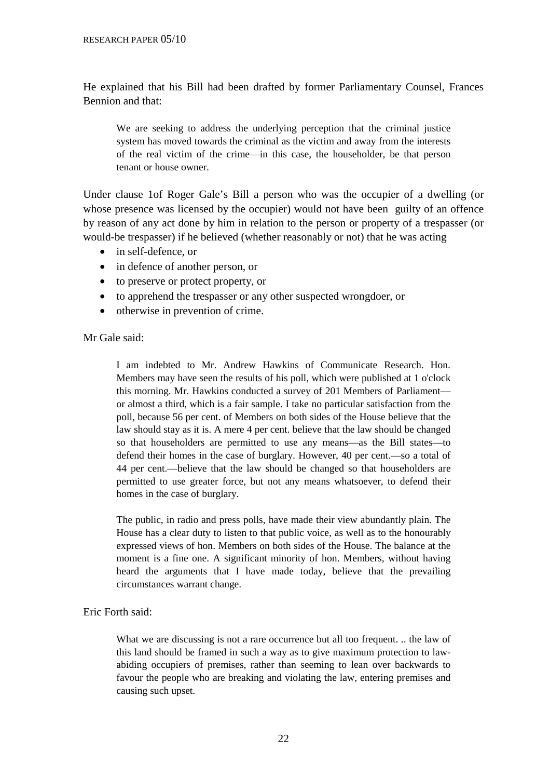He explained that his Bill had been drafted by former Parliamentary Counsel, Frances Bennion and that:

We are seeking to address the underlying perception that the criminal justice system has moved towards the criminal as the victim and away from the interests of the real victim of the crime—in this case, the householder, be that person tenant or house owner.

Under clause 1of Roger Gale's Bill a person who was the occupier of a dwelling (or whose presence was licensed by the occupier) would not have been guilty of an offence by reason of any act done by him in relation to the person or property of a trespasser (or would-be trespasser) if he believed (whether reasonably or not) that he was acting

- in self-defence, or
- in defence of another person, or
- to preserve or protect property, or
- to apprehend the trespasser or any other suspected wrongdoer, or
- otherwise in prevention of crime.

Mr Gale said:

I am indebted to Mr. Andrew Hawkins of Communicate Research. Hon. Members may have seen the results of his poll, which were published at 1 o'clock this morning. Mr. Hawkins conducted a survey of 201 Members of Parliament or almost a third, which is a fair sample. I take no particular satisfaction from the poll, because 56 per cent. of Members on both sides of the House believe that the law should stay as it is. A mere 4 per cent. believe that the law should be changed so that householders are permitted to use any means—as the Bill states—to defend their homes in the case of burglary. However, 40 per cent.—so a total of 44 per cent.—believe that the law should be changed so that householders are permitted to use greater force, but not any means whatsoever, to defend their homes in the case of burglary.

The public, in radio and press polls, have made their view abundantly plain. The House has a clear duty to listen to that public voice, as well as to the honourably expressed views of hon. Members on both sides of the House. The balance at the moment is a fine one. A significant minority of hon. Members, without having heard the arguments that I have made today, believe that the prevailing circumstances warrant change.

Eric Forth said:

What we are discussing is not a rare occurrence but all too frequent. .. the law of this land should be framed in such a way as to give maximum protection to lawabiding occupiers of premises, rather than seeming to lean over backwards to favour the people who are breaking and violating the law, entering premises and causing such upset.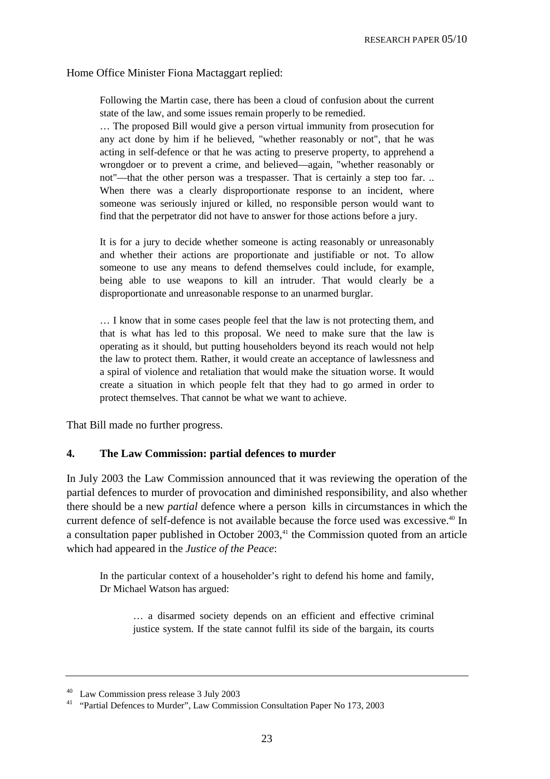Home Office Minister Fiona Mactaggart replied:

Following the Martin case, there has been a cloud of confusion about the current state of the law, and some issues remain properly to be remedied.

… The proposed Bill would give a person virtual immunity from prosecution for any act done by him if he believed, "whether reasonably or not", that he was acting in self-defence or that he was acting to preserve property, to apprehend a wrongdoer or to prevent a crime, and believed—again, "whether reasonably or not"—that the other person was a trespasser. That is certainly a step too far. .. When there was a clearly disproportionate response to an incident, where someone was seriously injured or killed, no responsible person would want to find that the perpetrator did not have to answer for those actions before a jury.

It is for a jury to decide whether someone is acting reasonably or unreasonably and whether their actions are proportionate and justifiable or not. To allow someone to use any means to defend themselves could include, for example, being able to use weapons to kill an intruder. That would clearly be a disproportionate and unreasonable response to an unarmed burglar.

… I know that in some cases people feel that the law is not protecting them, and that is what has led to this proposal. We need to make sure that the law is operating as it should, but putting householders beyond its reach would not help the law to protect them. Rather, it would create an acceptance of lawlessness and a spiral of violence and retaliation that would make the situation worse. It would create a situation in which people felt that they had to go armed in order to protect themselves. That cannot be what we want to achieve.

That Bill made no further progress.

#### **4. The Law Commission: partial defences to murder**

In July 2003 the Law Commission announced that it was reviewing the operation of the partial defences to murder of provocation and diminished responsibility, and also whether there should be a new *partial* defence where a person kills in circumstances in which the current defence of self-defence is not available because the force used was excessive.<sup>40</sup> In a consultation paper published in October  $2003<sub>1</sub><sup>41</sup>$  the Commission quoted from an article which had appeared in the *Justice of the Peace*:

In the particular context of a householder's right to defend his home and family, Dr Michael Watson has argued:

… a disarmed society depends on an efficient and effective criminal justice system. If the state cannot fulfil its side of the bargain, its courts

<sup>40</sup> Law Commission press release 3 July 2003

<sup>41 &</sup>quot;Partial Defences to Murder", Law Commission Consultation Paper No 173, 2003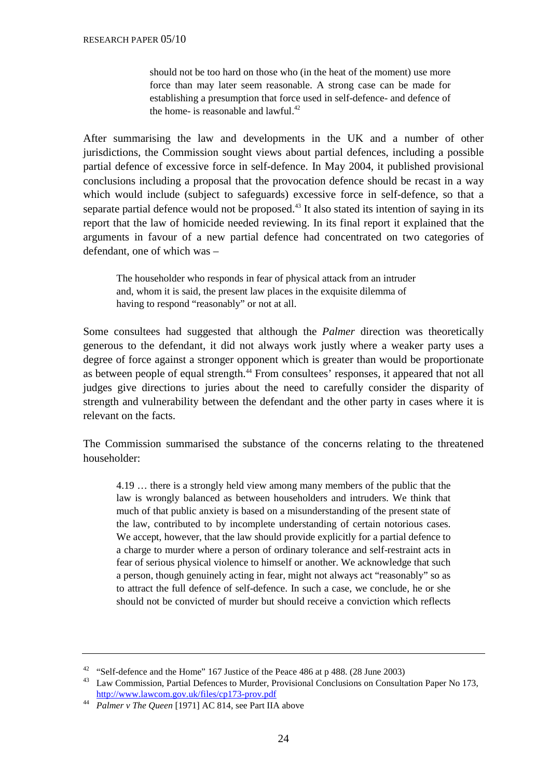should not be too hard on those who (in the heat of the moment) use more force than may later seem reasonable. A strong case can be made for establishing a presumption that force used in self-defence- and defence of the home- is reasonable and lawful. $42$ 

After summarising the law and developments in the UK and a number of other jurisdictions, the Commission sought views about partial defences, including a possible partial defence of excessive force in self-defence. In May 2004, it published provisional conclusions including a proposal that the provocation defence should be recast in a way which would include (subject to safeguards) excessive force in self-defence, so that a separate partial defence would not be proposed.<sup>43</sup> It also stated its intention of saying in its report that the law of homicide needed reviewing. In its final report it explained that the arguments in favour of a new partial defence had concentrated on two categories of defendant, one of which was –

The householder who responds in fear of physical attack from an intruder and, whom it is said, the present law places in the exquisite dilemma of having to respond "reasonably" or not at all.

Some consultees had suggested that although the *Palmer* direction was theoretically generous to the defendant, it did not always work justly where a weaker party uses a degree of force against a stronger opponent which is greater than would be proportionate as between people of equal strength.<sup>44</sup> From consultees' responses, it appeared that not all judges give directions to juries about the need to carefully consider the disparity of strength and vulnerability between the defendant and the other party in cases where it is relevant on the facts.

The Commission summarised the substance of the concerns relating to the threatened householder:

4.19 … there is a strongly held view among many members of the public that the law is wrongly balanced as between householders and intruders. We think that much of that public anxiety is based on a misunderstanding of the present state of the law, contributed to by incomplete understanding of certain notorious cases. We accept, however, that the law should provide explicitly for a partial defence to a charge to murder where a person of ordinary tolerance and self-restraint acts in fear of serious physical violence to himself or another. We acknowledge that such a person, though genuinely acting in fear, might not always act "reasonably" so as to attract the full defence of self-defence. In such a case, we conclude, he or she should not be convicted of murder but should receive a conviction which reflects

<sup>&</sup>lt;sup>42</sup> "Self-defence and the Home" 167 Justice of the Peace 486 at p 488. (28 June 2003)

<sup>43</sup> Law Commission, Partial Defences to Murder, Provisional Conclusions on Consultation Paper No 173, <http://www.lawcom.gov.uk/files/cp173-prov.pdf>44 *Palmer v The Queen* [1971] AC 814, see Part IIA above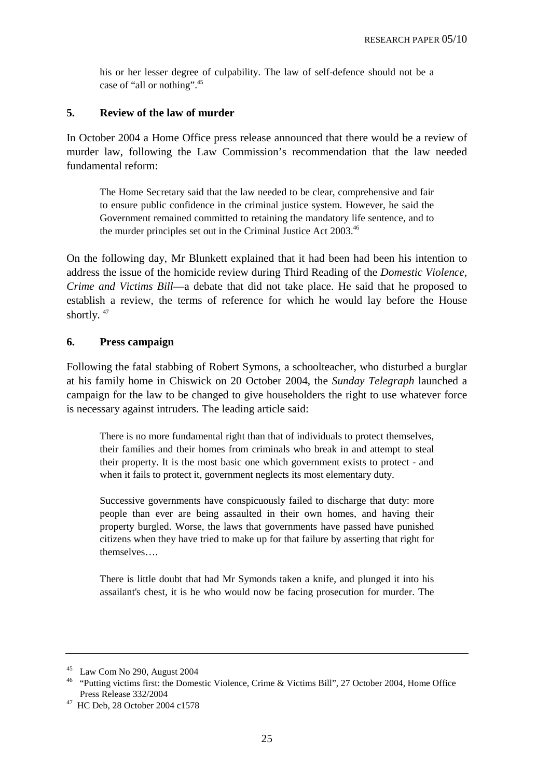his or her lesser degree of culpability. The law of self-defence should not be a case of "all or nothing".<sup>45</sup>

#### **5. Review of the law of murder**

In October 2004 a Home Office press release announced that there would be a review of murder law, following the Law Commission's recommendation that the law needed fundamental reform:

The Home Secretary said that the law needed to be clear, comprehensive and fair to ensure public confidence in the criminal justice system. However, he said the Government remained committed to retaining the mandatory life sentence, and to the murder principles set out in the Criminal Justice Act 2003.46

On the following day, Mr Blunkett explained that it had been had been his intention to address the issue of the homicide review during Third Reading of the *Domestic Violence, Crime and Victims Bill*—a debate that did not take place. He said that he proposed to establish a review, the terms of reference for which he would lay before the House shortly.<sup>47</sup>

#### **6. Press campaign**

Following the fatal stabbing of Robert Symons, a schoolteacher, who disturbed a burglar at his family home in Chiswick on 20 October 2004, the *Sunday Telegraph* launched a campaign for the law to be changed to give householders the right to use whatever force is necessary against intruders. The leading article said:

There is no more fundamental right than that of individuals to protect themselves, their families and their homes from criminals who break in and attempt to steal their property. It is the most basic one which government exists to protect - and when it fails to protect it, government neglects its most elementary duty.

Successive governments have conspicuously failed to discharge that duty: more people than ever are being assaulted in their own homes, and having their property burgled. Worse, the laws that governments have passed have punished citizens when they have tried to make up for that failure by asserting that right for themselves….

There is little doubt that had Mr Symonds taken a knife, and plunged it into his assailant's chest, it is he who would now be facing prosecution for murder. The

<sup>45</sup> Law Com No 290, August 2004

<sup>&</sup>lt;sup>46</sup> "Putting victims first: the Domestic Violence, Crime & Victims Bill", 27 October 2004, Home Office Press Release 332/2004 47 HC Deb, 28 October 2004 c1578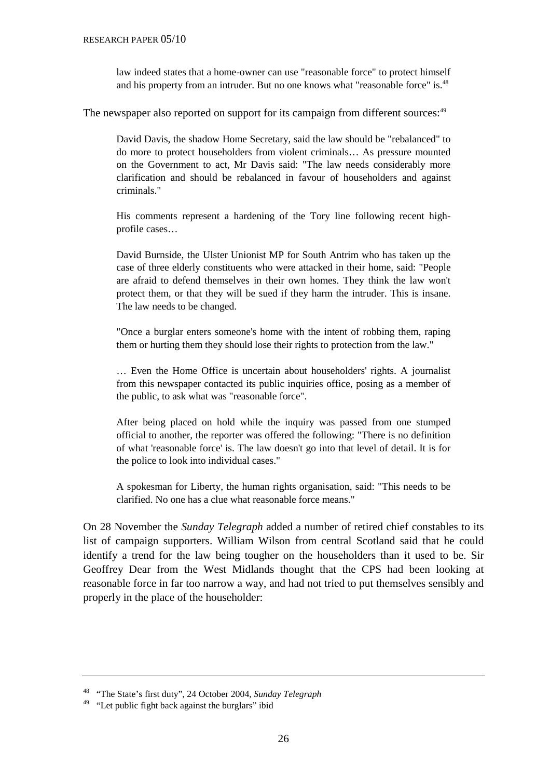law indeed states that a home-owner can use "reasonable force" to protect himself and his property from an intruder. But no one knows what "reasonable force" is.<sup>48</sup>

The newspaper also reported on support for its campaign from different sources:<sup>49</sup>

David Davis, the shadow Home Secretary, said the law should be "rebalanced" to do more to protect householders from violent criminals… As pressure mounted on the Government to act, Mr Davis said: "The law needs considerably more clarification and should be rebalanced in favour of householders and against criminals."

His comments represent a hardening of the Tory line following recent highprofile cases…

David Burnside, the Ulster Unionist MP for South Antrim who has taken up the case of three elderly constituents who were attacked in their home, said: "People are afraid to defend themselves in their own homes. They think the law won't protect them, or that they will be sued if they harm the intruder. This is insane. The law needs to be changed.

"Once a burglar enters someone's home with the intent of robbing them, raping them or hurting them they should lose their rights to protection from the law."

… Even the Home Office is uncertain about householders' rights. A journalist from this newspaper contacted its public inquiries office, posing as a member of the public, to ask what was "reasonable force".

After being placed on hold while the inquiry was passed from one stumped official to another, the reporter was offered the following: "There is no definition of what 'reasonable force' is. The law doesn't go into that level of detail. It is for the police to look into individual cases."

A spokesman for Liberty, the human rights organisation, said: "This needs to be clarified. No one has a clue what reasonable force means."

On 28 November the *Sunday Telegraph* added a number of retired chief constables to its list of campaign supporters. William Wilson from central Scotland said that he could identify a trend for the law being tougher on the householders than it used to be. Sir Geoffrey Dear from the West Midlands thought that the CPS had been looking at reasonable force in far too narrow a way, and had not tried to put themselves sensibly and properly in the place of the householder:

<sup>48 &</sup>quot;The State's first duty", 24 October 2004, *Sunday Telegraph*

<sup>&</sup>lt;sup>49</sup> "Let public fight back against the burglars" ibid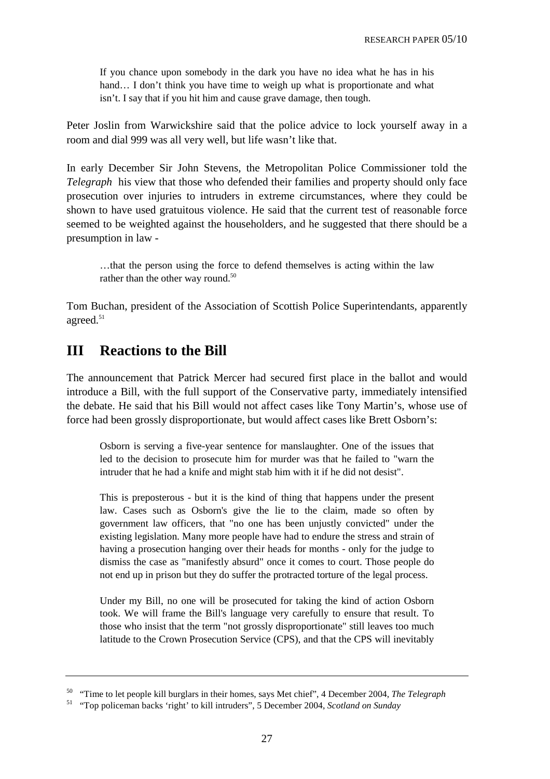If you chance upon somebody in the dark you have no idea what he has in his hand... I don't think you have time to weigh up what is proportionate and what isn't. I say that if you hit him and cause grave damage, then tough.

Peter Joslin from Warwickshire said that the police advice to lock yourself away in a room and dial 999 was all very well, but life wasn't like that.

In early December Sir John Stevens, the Metropolitan Police Commissioner told the *Telegraph* his view that those who defended their families and property should only face prosecution over injuries to intruders in extreme circumstances, where they could be shown to have used gratuitous violence. He said that the current test of reasonable force seemed to be weighted against the householders, and he suggested that there should be a presumption in law -

…that the person using the force to defend themselves is acting within the law rather than the other way round.<sup>50</sup>

Tom Buchan, president of the Association of Scottish Police Superintendants, apparently agreed.<sup>51</sup>

# **III Reactions to the Bill**

The announcement that Patrick Mercer had secured first place in the ballot and would introduce a Bill, with the full support of the Conservative party, immediately intensified the debate. He said that his Bill would not affect cases like Tony Martin's, whose use of force had been grossly disproportionate, but would affect cases like Brett Osborn's:

Osborn is serving a five-year sentence for manslaughter. One of the issues that led to the decision to prosecute him for murder was that he failed to "warn the intruder that he had a knife and might stab him with it if he did not desist".

This is preposterous - but it is the kind of thing that happens under the present law. Cases such as Osborn's give the lie to the claim, made so often by government law officers, that "no one has been unjustly convicted" under the existing legislation. Many more people have had to endure the stress and strain of having a prosecution hanging over their heads for months - only for the judge to dismiss the case as "manifestly absurd" once it comes to court. Those people do not end up in prison but they do suffer the protracted torture of the legal process.

Under my Bill, no one will be prosecuted for taking the kind of action Osborn took. We will frame the Bill's language very carefully to ensure that result. To those who insist that the term "not grossly disproportionate" still leaves too much latitude to the Crown Prosecution Service (CPS), and that the CPS will inevitably

<sup>50 &</sup>quot;Time to let people kill burglars in their homes, says Met chief", 4 December 2004, *The Telegraph*

<sup>51 &</sup>quot;Top policeman backs 'right' to kill intruders", 5 December 2004, *Scotland on Sunday*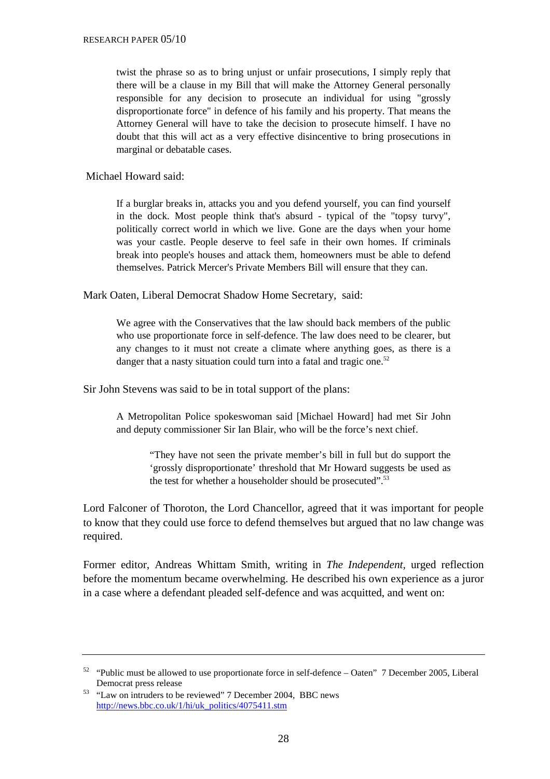twist the phrase so as to bring unjust or unfair prosecutions, I simply reply that there will be a clause in my Bill that will make the Attorney General personally responsible for any decision to prosecute an individual for using "grossly disproportionate force" in defence of his family and his property. That means the Attorney General will have to take the decision to prosecute himself. I have no doubt that this will act as a very effective disincentive to bring prosecutions in marginal or debatable cases.

Michael Howard said:

If a burglar breaks in, attacks you and you defend yourself, you can find yourself in the dock. Most people think that's absurd - typical of the "topsy turvy", politically correct world in which we live. Gone are the days when your home was your castle. People deserve to feel safe in their own homes. If criminals break into people's houses and attack them, homeowners must be able to defend themselves. Patrick Mercer's Private Members Bill will ensure that they can.

Mark Oaten, Liberal Democrat Shadow Home Secretary, said:

We agree with the Conservatives that the law should back members of the public who use proportionate force in self-defence. The law does need to be clearer, but any changes to it must not create a climate where anything goes, as there is a danger that a nasty situation could turn into a fatal and tragic one.<sup>52</sup>

Sir John Stevens was said to be in total support of the plans:

A Metropolitan Police spokeswoman said [Michael Howard] had met Sir John and deputy commissioner Sir Ian Blair, who will be the force's next chief.

"They have not seen the private member's bill in full but do support the 'grossly disproportionate' threshold that Mr Howard suggests be used as the test for whether a householder should be prosecuted".<sup>53</sup>

Lord Falconer of Thoroton, the Lord Chancellor, agreed that it was important for people to know that they could use force to defend themselves but argued that no law change was required.

Former editor, Andreas Whittam Smith, writing in *The Independent,* urged reflection before the momentum became overwhelming. He described his own experience as a juror in a case where a defendant pleaded self-defence and was acquitted, and went on:

 $52$  "Public must be allowed to use proportionate force in self-defence – Oaten" 7 December 2005, Liberal Democrat press release<br>
<sup>53</sup> "Law on intruders to be reviewed" 7 December 2004, BBC news

[http://news.bbc.co.uk/1/hi/uk\\_politics/4075411.stm](http://news.bbc.co.uk/1/hi/uk_politics/4075411.stm)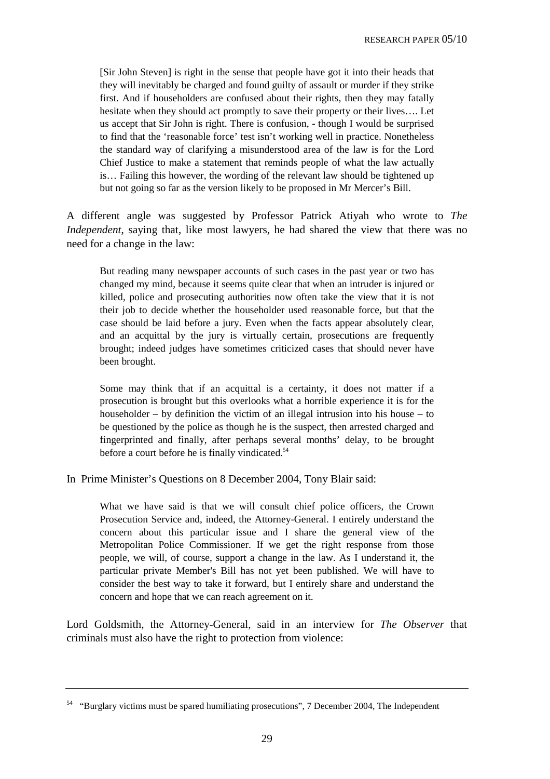[Sir John Steven] is right in the sense that people have got it into their heads that they will inevitably be charged and found guilty of assault or murder if they strike first. And if householders are confused about their rights, then they may fatally hesitate when they should act promptly to save their property or their lives…. Let us accept that Sir John is right. There is confusion, - though I would be surprised to find that the 'reasonable force' test isn't working well in practice. Nonetheless the standard way of clarifying a misunderstood area of the law is for the Lord Chief Justice to make a statement that reminds people of what the law actually is… Failing this however, the wording of the relevant law should be tightened up but not going so far as the version likely to be proposed in Mr Mercer's Bill.

A different angle was suggested by Professor Patrick Atiyah who wrote to *The Independent*, saying that, like most lawyers, he had shared the view that there was no need for a change in the law:

But reading many newspaper accounts of such cases in the past year or two has changed my mind, because it seems quite clear that when an intruder is injured or killed, police and prosecuting authorities now often take the view that it is not their job to decide whether the householder used reasonable force, but that the case should be laid before a jury. Even when the facts appear absolutely clear, and an acquittal by the jury is virtually certain, prosecutions are frequently brought; indeed judges have sometimes criticized cases that should never have been brought.

Some may think that if an acquittal is a certainty, it does not matter if a prosecution is brought but this overlooks what a horrible experience it is for the householder – by definition the victim of an illegal intrusion into his house – to be questioned by the police as though he is the suspect, then arrested charged and fingerprinted and finally, after perhaps several months' delay, to be brought before a court before he is finally vindicated.<sup>54</sup>

In Prime Minister's Questions on 8 December 2004, Tony Blair said:

What we have said is that we will consult chief police officers, the Crown Prosecution Service and, indeed, the Attorney-General. I entirely understand the concern about this particular issue and I share the general view of the Metropolitan Police Commissioner. If we get the right response from those people, we will, of course, support a change in the law. As I understand it, the particular private Member's Bill has not yet been published. We will have to consider the best way to take it forward, but I entirely share and understand the concern and hope that we can reach agreement on it.

Lord Goldsmith, the Attorney-General, said in an interview for *The Observer* that criminals must also have the right to protection from violence:

<sup>&</sup>lt;sup>54</sup> "Burglary victims must be spared humiliating prosecutions", 7 December 2004, The Independent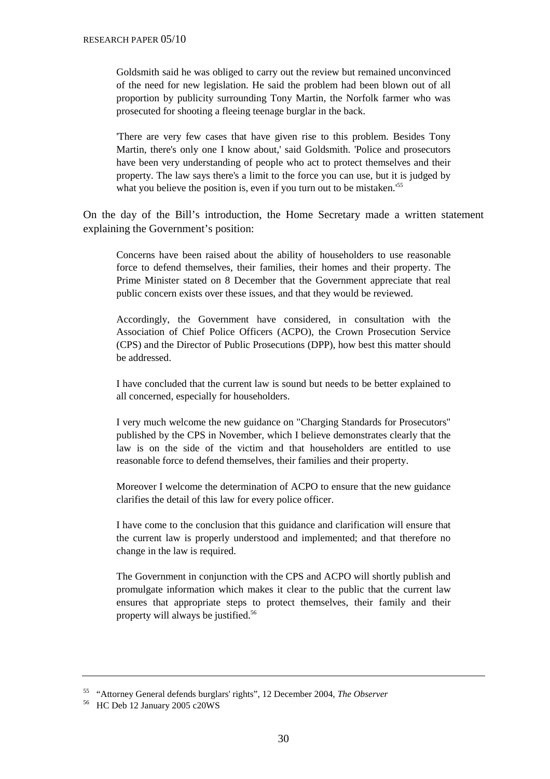Goldsmith said he was obliged to carry out the review but remained unconvinced of the need for new legislation. He said the problem had been blown out of all proportion by publicity surrounding Tony Martin, the Norfolk farmer who was prosecuted for shooting a fleeing teenage burglar in the back.

'There are very few cases that have given rise to this problem. Besides Tony Martin, there's only one I know about,' said Goldsmith. 'Police and prosecutors have been very understanding of people who act to protect themselves and their property. The law says there's a limit to the force you can use, but it is judged by what you believe the position is, even if you turn out to be mistaken.<sup>55</sup>

On the day of the Bill's introduction, the Home Secretary made a written statement explaining the Government's position:

Concerns have been raised about the ability of householders to use reasonable force to defend themselves, their families, their homes and their property. The Prime Minister stated on 8 December that the Government appreciate that real public concern exists over these issues, and that they would be reviewed.

Accordingly, the Government have considered, in consultation with the Association of Chief Police Officers (ACPO), the Crown Prosecution Service (CPS) and the Director of Public Prosecutions (DPP), how best this matter should be addressed.

I have concluded that the current law is sound but needs to be better explained to all concerned, especially for householders.

I very much welcome the new guidance on "Charging Standards for Prosecutors" published by the CPS in November, which I believe demonstrates clearly that the law is on the side of the victim and that householders are entitled to use reasonable force to defend themselves, their families and their property.

Moreover I welcome the determination of ACPO to ensure that the new guidance clarifies the detail of this law for every police officer.

I have come to the conclusion that this guidance and clarification will ensure that the current law is properly understood and implemented; and that therefore no change in the law is required.

The Government in conjunction with the CPS and ACPO will shortly publish and promulgate information which makes it clear to the public that the current law ensures that appropriate steps to protect themselves, their family and their property will always be justified.<sup>56</sup>

<sup>55 &</sup>quot;Attorney General defends burglars' rights", 12 December 2004, *The Observer*

<sup>56</sup> HC Deb 12 January 2005 c20WS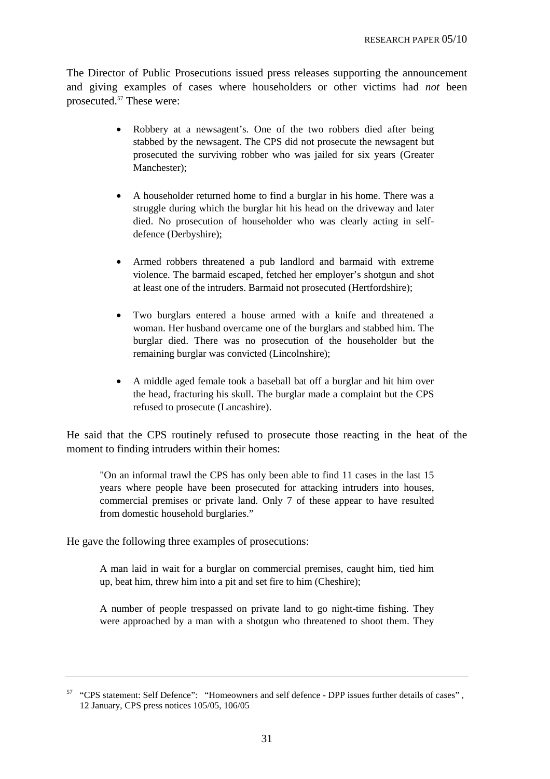The Director of Public Prosecutions issued press releases supporting the announcement and giving examples of cases where householders or other victims had *not* been prosecuted.<sup>57</sup> These were:

- Robbery at a newsagent's. One of the two robbers died after being stabbed by the newsagent. The CPS did not prosecute the newsagent but prosecuted the surviving robber who was jailed for six years (Greater Manchester);
- A householder returned home to find a burglar in his home. There was a struggle during which the burglar hit his head on the driveway and later died. No prosecution of householder who was clearly acting in selfdefence (Derbyshire);
- Armed robbers threatened a pub landlord and barmaid with extreme violence. The barmaid escaped, fetched her employer's shotgun and shot at least one of the intruders. Barmaid not prosecuted (Hertfordshire);
- Two burglars entered a house armed with a knife and threatened a woman. Her husband overcame one of the burglars and stabbed him. The burglar died. There was no prosecution of the householder but the remaining burglar was convicted (Lincolnshire);
- A middle aged female took a baseball bat off a burglar and hit him over the head, fracturing his skull. The burglar made a complaint but the CPS refused to prosecute (Lancashire).

He said that the CPS routinely refused to prosecute those reacting in the heat of the moment to finding intruders within their homes:

"On an informal trawl the CPS has only been able to find 11 cases in the last 15 years where people have been prosecuted for attacking intruders into houses, commercial premises or private land. Only 7 of these appear to have resulted from domestic household burglaries."

He gave the following three examples of prosecutions:

A man laid in wait for a burglar on commercial premises, caught him, tied him up, beat him, threw him into a pit and set fire to him (Cheshire);

A number of people trespassed on private land to go night-time fishing. They were approached by a man with a shotgun who threatened to shoot them. They

<sup>57 &</sup>quot;CPS statement: Self Defence": "Homeowners and self defence - DPP issues further details of cases" , 12 January, CPS press notices 105/05, 106/05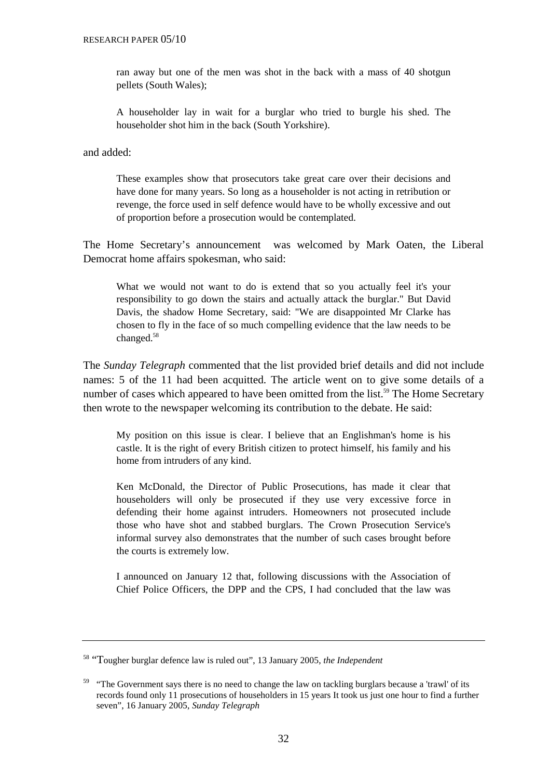ran away but one of the men was shot in the back with a mass of 40 shotgun pellets (South Wales);

A householder lay in wait for a burglar who tried to burgle his shed. The householder shot him in the back (South Yorkshire).

and added:

These examples show that prosecutors take great care over their decisions and have done for many years. So long as a householder is not acting in retribution or revenge, the force used in self defence would have to be wholly excessive and out of proportion before a prosecution would be contemplated.

The Home Secretary's announcement was welcomed by Mark Oaten, the Liberal Democrat home affairs spokesman, who said:

What we would not want to do is extend that so you actually feel it's your responsibility to go down the stairs and actually attack the burglar." But David Davis, the shadow Home Secretary, said: "We are disappointed Mr Clarke has chosen to fly in the face of so much compelling evidence that the law needs to be changed.<sup>58</sup>

The *Sunday Telegraph* commented that the list provided brief details and did not include names: 5 of the 11 had been acquitted. The article went on to give some details of a number of cases which appeared to have been omitted from the list.<sup>59</sup> The Home Secretary then wrote to the newspaper welcoming its contribution to the debate. He said:

My position on this issue is clear. I believe that an Englishman's home is his castle. It is the right of every British citizen to protect himself, his family and his home from intruders of any kind.

Ken McDonald, the Director of Public Prosecutions, has made it clear that householders will only be prosecuted if they use very excessive force in defending their home against intruders. Homeowners not prosecuted include those who have shot and stabbed burglars. The Crown Prosecution Service's informal survey also demonstrates that the number of such cases brought before the courts is extremely low.

I announced on January 12 that, following discussions with the Association of Chief Police Officers, the DPP and the CPS, I had concluded that the law was

<sup>58 &</sup>quot;Tougher burglar defence law is ruled out", 13 January 2005, *the Independent*

<sup>&</sup>lt;sup>59</sup> "The Government says there is no need to change the law on tackling burglars because a 'trawl' of its records found only 11 prosecutions of householders in 15 years It took us just one hour to find a further seven", 16 January 2005, *Sunday Telegraph*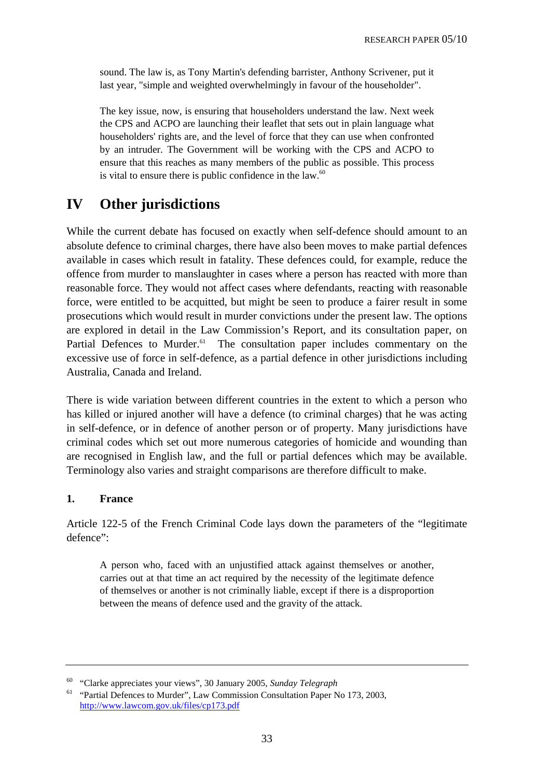sound. The law is, as Tony Martin's defending barrister, Anthony Scrivener, put it last year, "simple and weighted overwhelmingly in favour of the householder".

The key issue, now, is ensuring that householders understand the law. Next week the CPS and ACPO are launching their leaflet that sets out in plain language what householders' rights are, and the level of force that they can use when confronted by an intruder. The Government will be working with the CPS and ACPO to ensure that this reaches as many members of the public as possible. This process is vital to ensure there is public confidence in the law. $60$ 

# **IV Other jurisdictions**

While the current debate has focused on exactly when self-defence should amount to an absolute defence to criminal charges, there have also been moves to make partial defences available in cases which result in fatality. These defences could, for example, reduce the offence from murder to manslaughter in cases where a person has reacted with more than reasonable force. They would not affect cases where defendants, reacting with reasonable force, were entitled to be acquitted, but might be seen to produce a fairer result in some prosecutions which would result in murder convictions under the present law. The options are explored in detail in the Law Commission's Report, and its consultation paper, on Partial Defences to Murder.<sup>61</sup> The consultation paper includes commentary on the excessive use of force in self-defence, as a partial defence in other jurisdictions including Australia, Canada and Ireland.

There is wide variation between different countries in the extent to which a person who has killed or injured another will have a defence (to criminal charges) that he was acting in self-defence, or in defence of another person or of property. Many jurisdictions have criminal codes which set out more numerous categories of homicide and wounding than are recognised in English law, and the full or partial defences which may be available. Terminology also varies and straight comparisons are therefore difficult to make.

#### **1. France**

Article 122-5 of the French Criminal Code lays down the parameters of the "legitimate defence":

A person who, faced with an unjustified attack against themselves or another, carries out at that time an act required by the necessity of the legitimate defence of themselves or another is not criminally liable, except if there is a disproportion between the means of defence used and the gravity of the attack.

<sup>60 &</sup>quot;Clarke appreciates your views", 30 January 2005, *Sunday Telegraph*

<sup>&</sup>lt;sup>61</sup> "Partial Defences to Murder", Law Commission Consultation Paper No 173, 2003, <http://www.lawcom.gov.uk/files/cp173.pdf>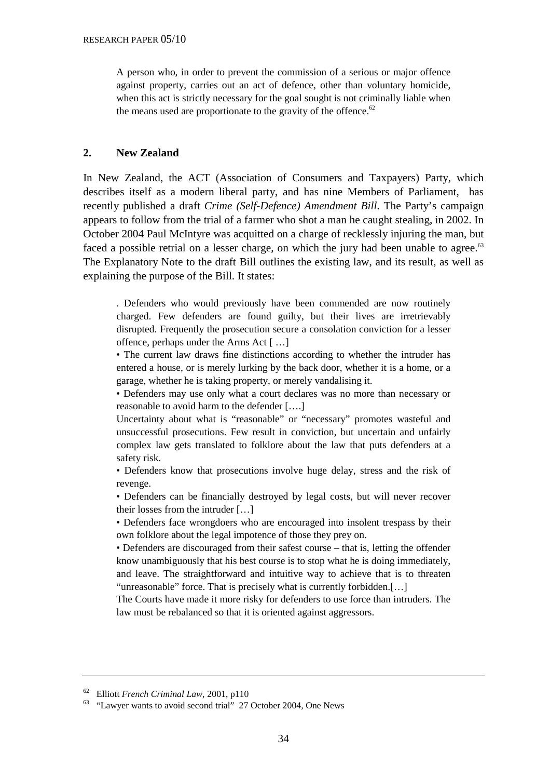A person who, in order to prevent the commission of a serious or major offence against property, carries out an act of defence, other than voluntary homicide, when this act is strictly necessary for the goal sought is not criminally liable when the means used are proportionate to the gravity of the offence. $62$ 

#### **2. New Zealand**

In New Zealand, the ACT (Association of Consumers and Taxpayers) Party, which describes itself as a modern liberal party, and has nine Members of Parliament, has recently published a draft *Crime (Self-Defence) Amendment Bill*. The Party's campaign appears to follow from the trial of a farmer who shot a man he caught stealing, in 2002. In October 2004 Paul McIntyre was acquitted on a charge of recklessly injuring the man, but faced a possible retrial on a lesser charge, on which the jury had been unable to agree.<sup>63</sup> The Explanatory Note to the draft Bill outlines the existing law, and its result, as well as explaining the purpose of the Bill. It states:

. Defenders who would previously have been commended are now routinely charged. Few defenders are found guilty, but their lives are irretrievably disrupted. Frequently the prosecution secure a consolation conviction for a lesser offence, perhaps under the Arms Act [ …]

• The current law draws fine distinctions according to whether the intruder has entered a house, or is merely lurking by the back door, whether it is a home, or a garage, whether he is taking property, or merely vandalising it.

• Defenders may use only what a court declares was no more than necessary or reasonable to avoid harm to the defender [….]

Uncertainty about what is "reasonable" or "necessary" promotes wasteful and unsuccessful prosecutions. Few result in conviction, but uncertain and unfairly complex law gets translated to folklore about the law that puts defenders at a safety risk.

• Defenders know that prosecutions involve huge delay, stress and the risk of revenge.

• Defenders can be financially destroyed by legal costs, but will never recover their losses from the intruder […]

• Defenders face wrongdoers who are encouraged into insolent trespass by their own folklore about the legal impotence of those they prey on.

• Defenders are discouraged from their safest course – that is, letting the offender know unambiguously that his best course is to stop what he is doing immediately, and leave. The straightforward and intuitive way to achieve that is to threaten "unreasonable" force. That is precisely what is currently forbidden.[…]

The Courts have made it more risky for defenders to use force than intruders. The law must be rebalanced so that it is oriented against aggressors.

<sup>&</sup>lt;sup>62</sup> Elliott *French Criminal Law*, 2001, p110<br><sup>63</sup> "Lawyer wants to avoid second trial" 27 October 2004, One News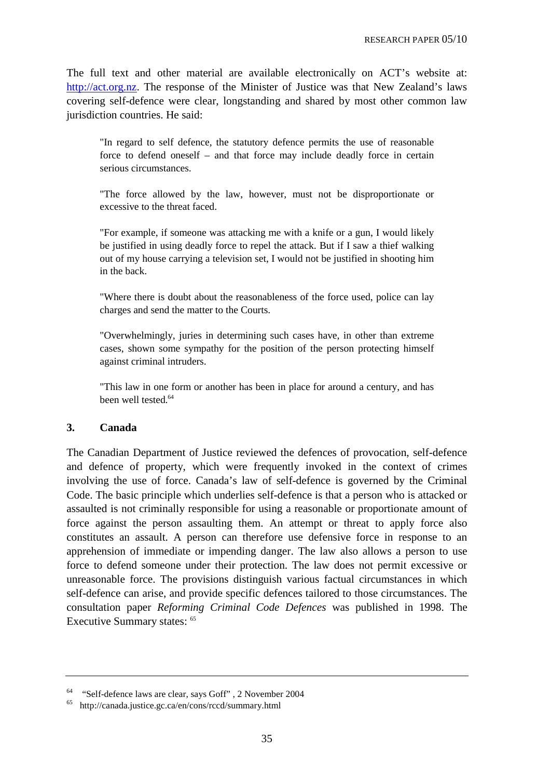The full text and other material are available electronically on ACT's website at: [http://act.org.n](http://act.org.nz.)z. The response of the Minister of Justice was that New Zealand's laws covering self-defence were clear, longstanding and shared by most other common law jurisdiction countries. He said:

"In regard to self defence, the statutory defence permits the use of reasonable force to defend oneself – and that force may include deadly force in certain serious circumstances.

"The force allowed by the law, however, must not be disproportionate or excessive to the threat faced.

"For example, if someone was attacking me with a knife or a gun, I would likely be justified in using deadly force to repel the attack. But if I saw a thief walking out of my house carrying a television set, I would not be justified in shooting him in the back.

"Where there is doubt about the reasonableness of the force used, police can lay charges and send the matter to the Courts.

"Overwhelmingly, juries in determining such cases have, in other than extreme cases, shown some sympathy for the position of the person protecting himself against criminal intruders.

"This law in one form or another has been in place for around a century, and has been well tested.<sup>64</sup>

#### **3. Canada**

The Canadian Department of Justice reviewed the defences of provocation, self-defence and defence of property, which were frequently invoked in the context of crimes involving the use of force. Canada's law of self-defence is governed by the Criminal Code. The basic principle which underlies self-defence is that a person who is attacked or assaulted is not criminally responsible for using a reasonable or proportionate amount of force against the person assaulting them. An attempt or threat to apply force also constitutes an assault. A person can therefore use defensive force in response to an apprehension of immediate or impending danger. The law also allows a person to use force to defend someone under their protection. The law does not permit excessive or unreasonable force. The provisions distinguish various factual circumstances in which self-defence can arise, and provide specific defences tailored to those circumstances. The consultation paper *Reforming Criminal Code Defences* was published in 1998. The Executive Summary states: 65

<sup>64 &</sup>quot;Self-defence laws are clear, says Goff" , 2 November 2004

<sup>65</sup> http://canada.justice.gc.ca/en/cons/rccd/summary.html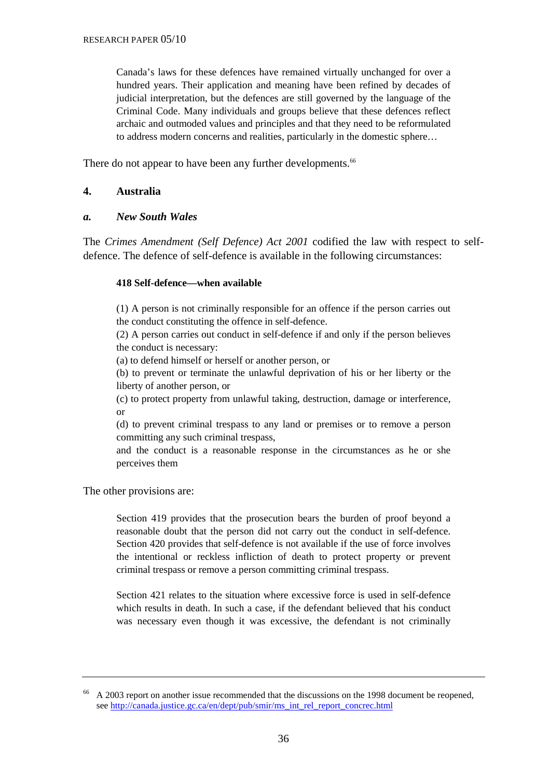Canada's laws for these defences have remained virtually unchanged for over a hundred years. Their application and meaning have been refined by decades of judicial interpretation, but the defences are still governed by the language of the Criminal Code. Many individuals and groups believe that these defences reflect archaic and outmoded values and principles and that they need to be reformulated to address modern concerns and realities, particularly in the domestic sphere…

There do not appear to have been any further developments.<sup>66</sup>

#### **4. Australia**

#### *a. New South Wales*

The *Crimes Amendment (Self Defence) Act 2001* codified the law with respect to selfdefence. The defence of self-defence is available in the following circumstances:

#### **418 Self-defence—when available**

(1) A person is not criminally responsible for an offence if the person carries out the conduct constituting the offence in self-defence.

(2) A person carries out conduct in self-defence if and only if the person believes the conduct is necessary:

(a) to defend himself or herself or another person, or

(b) to prevent or terminate the unlawful deprivation of his or her liberty or the liberty of another person, or

(c) to protect property from unlawful taking, destruction, damage or interference, or

(d) to prevent criminal trespass to any land or premises or to remove a person committing any such criminal trespass,

and the conduct is a reasonable response in the circumstances as he or she perceives them

The other provisions are:

Section 419 provides that the prosecution bears the burden of proof beyond a reasonable doubt that the person did not carry out the conduct in self-defence. Section 420 provides that self-defence is not available if the use of force involves the intentional or reckless infliction of death to protect property or prevent criminal trespass or remove a person committing criminal trespass.

Section 421 relates to the situation where excessive force is used in self-defence which results in death. In such a case, if the defendant believed that his conduct was necessary even though it was excessive, the defendant is not criminally

<sup>&</sup>lt;sup>66</sup> A 2003 report on another issue recommended that the discussions on the 1998 document be reopened, see http://canada.justice.gc.ca/en/dept/pub/smir/ms\_int\_rel\_report\_concrec.html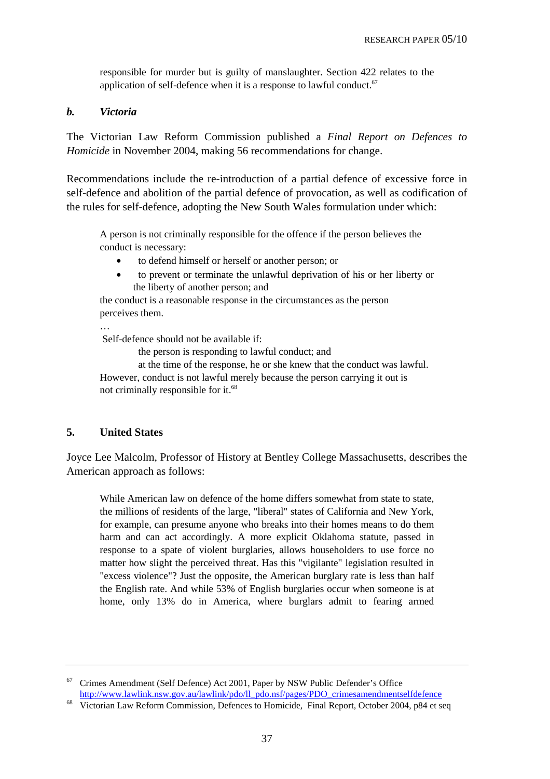responsible for murder but is guilty of manslaughter. Section 422 relates to the application of self-defence when it is a response to lawful conduct. $67$ 

#### *b. Victoria*

The Victorian Law Reform Commission published a *Final Report on Defences to Homicide* in November 2004, making 56 recommendations for change.

Recommendations include the re-introduction of a partial defence of excessive force in self-defence and abolition of the partial defence of provocation, as well as codification of the rules for self-defence, adopting the New South Wales formulation under which:

A person is not criminally responsible for the offence if the person believes the conduct is necessary:

- to defend himself or herself or another person; or
- to prevent or terminate the unlawful deprivation of his or her liberty or the liberty of another person; and

the conduct is a reasonable response in the circumstances as the person perceives them.

…

Self-defence should not be available if:

the person is responding to lawful conduct; and

 at the time of the response, he or she knew that the conduct was lawful. However, conduct is not lawful merely because the person carrying it out is not criminally responsible for it.<sup>68</sup>

#### **5. United States**

Joyce Lee Malcolm, Professor of History at Bentley College Massachusetts, describes the American approach as follows:

While American law on defence of the home differs somewhat from state to state. the millions of residents of the large, "liberal" states of California and New York, for example, can presume anyone who breaks into their homes means to do them harm and can act accordingly. A more explicit Oklahoma statute, passed in response to a spate of violent burglaries, allows householders to use force no matter how slight the perceived threat. Has this "vigilante" legislation resulted in "excess violence"? Just the opposite, the American burglary rate is less than half the English rate. And while 53% of English burglaries occur when someone is at home, only 13% do in America, where burglars admit to fearing armed

 $67$  Crimes Amendment (Self Defence) Act 2001, Paper by NSW Public Defender's Office [http://www.lawlink.nsw.gov.au/lawlink/pdo/ll\\_pdo.nsf/pages/PDO\\_crimesamendmentselfdefence](http://www.lawlink.nsw.gov.au/lawlink/pdo/ll_pdo.nsf/pages/PDO_crimesamendmentselfdefence) [Victorian Law Reform Commission, Defences to Homicide, Final Report, October 2004, p84 et s](http://www.lawlink.nsw.gov.au/lawlink/pdo/ll_pdo.nsf/pages/PDO_crimesamendmentselfdefence)eq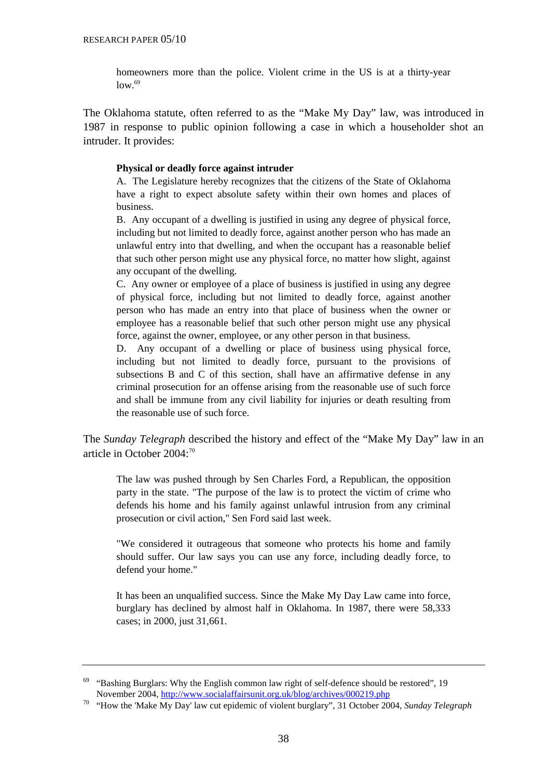homeowners more than the police. Violent crime in the US is at a thirty-year  $low.<sup>69</sup>$ 

The Oklahoma statute, often referred to as the "Make My Day" law, was introduced in 1987 in response to public opinion following a case in which a householder shot an intruder. It provides:

#### **Physical or deadly force against intruder**

A. The Legislature hereby recognizes that the citizens of the State of Oklahoma have a right to expect absolute safety within their own homes and places of business.

B. Any occupant of a dwelling is justified in using any degree of physical force, including but not limited to deadly force, against another person who has made an unlawful entry into that dwelling, and when the occupant has a reasonable belief that such other person might use any physical force, no matter how slight, against any occupant of the dwelling.

C. Any owner or employee of a place of business is justified in using any degree of physical force, including but not limited to deadly force, against another person who has made an entry into that place of business when the owner or employee has a reasonable belief that such other person might use any physical force, against the owner, employee, or any other person in that business.

D. Any occupant of a dwelling or place of business using physical force, including but not limited to deadly force, pursuant to the provisions of subsections B and C of this section, shall have an affirmative defense in any criminal prosecution for an offense arising from the reasonable use of such force and shall be immune from any civil liability for injuries or death resulting from the reasonable use of such force.

The *Sunday Telegraph* described the history and effect of the "Make My Day" law in an article in October 2004:70

The law was pushed through by Sen Charles Ford, a Republican, the opposition party in the state. "The purpose of the law is to protect the victim of crime who defends his home and his family against unlawful intrusion from any criminal prosecution or civil action," Sen Ford said last week.

"We considered it outrageous that someone who protects his home and family should suffer. Our law says you can use any force, including deadly force, to defend your home."

It has been an unqualified success. Since the Make My Day Law came into force, burglary has declined by almost half in Oklahoma. In 1987, there were 58,333 cases; in 2000, just 31,661.

 $69$  "Bashing Burglars: Why the English common law right of self-defence should be restored", 19

November 2004,<http://www.socialaffairsunit.org.uk/blog/archives/000219.php>70 "How the 'Make My Day' law cut epidemic of violent burglary", 31 October 2004, *Sunday Telegraph*